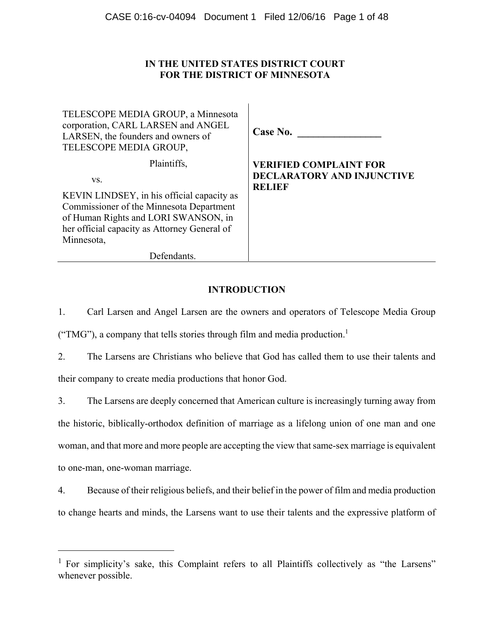# **IN THE UNITED STATES DISTRICT COURT FOR THE DISTRICT OF MINNESOTA**

 $\mathbf{I}$ 

| TELESCOPE MEDIA GROUP, a Minnesota<br>corporation, CARL LARSEN and ANGEL<br>LARSEN, the founders and owners of<br>TELESCOPE MEDIA GROUP,                                                                           | Case No.                                                                            |
|--------------------------------------------------------------------------------------------------------------------------------------------------------------------------------------------------------------------|-------------------------------------------------------------------------------------|
| Plaintiffs,<br>VS.<br>KEVIN LINDSEY, in his official capacity as<br>Commissioner of the Minnesota Department<br>of Human Rights and LORI SWANSON, in<br>her official capacity as Attorney General of<br>Minnesota, | <b>VERIFIED COMPLAINT FOR</b><br><b>DECLARATORY AND INJUNCTIVE</b><br><b>RELIEF</b> |
| <b>Defendants</b>                                                                                                                                                                                                  |                                                                                     |

# **INTRODUCTION**

1. Carl Larsen and Angel Larsen are the owners and operators of Telescope Media Group ("TMG"), a company that tells stories through film and media production.<sup>1</sup>

2. The Larsens are Christians who believe that God has called them to use their talents and their company to create media productions that honor God.

3. The Larsens are deeply concerned that American culture is increasingly turning away from the historic, biblically-orthodox definition of marriage as a lifelong union of one man and one woman, and that more and more people are accepting the view that same-sex marriage is equivalent to one-man, one-woman marriage.

4. Because of their religious beliefs, and their belief in the power of film and media production to change hearts and minds, the Larsens want to use their talents and the expressive platform of

 $\overline{a}$ 

<sup>&</sup>lt;sup>1</sup> For simplicity's sake, this Complaint refers to all Plaintiffs collectively as "the Larsens" whenever possible.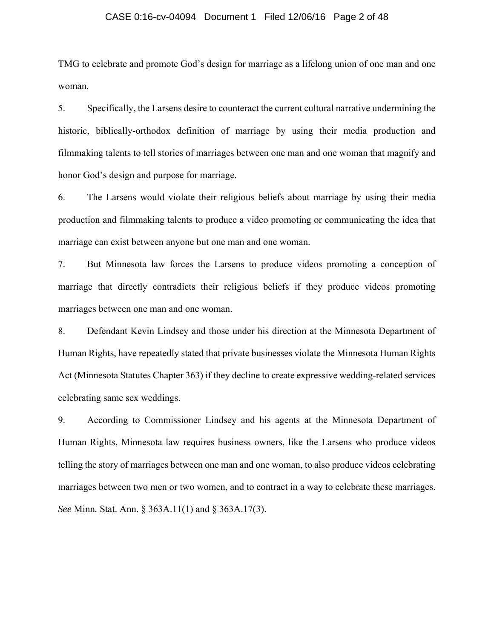## CASE 0:16-cv-04094 Document 1 Filed 12/06/16 Page 2 of 48

TMG to celebrate and promote God's design for marriage as a lifelong union of one man and one woman.

5. Specifically, the Larsens desire to counteract the current cultural narrative undermining the historic, biblically-orthodox definition of marriage by using their media production and filmmaking talents to tell stories of marriages between one man and one woman that magnify and honor God's design and purpose for marriage.

6. The Larsens would violate their religious beliefs about marriage by using their media production and filmmaking talents to produce a video promoting or communicating the idea that marriage can exist between anyone but one man and one woman.

7. But Minnesota law forces the Larsens to produce videos promoting a conception of marriage that directly contradicts their religious beliefs if they produce videos promoting marriages between one man and one woman.

8. Defendant Kevin Lindsey and those under his direction at the Minnesota Department of Human Rights, have repeatedly stated that private businesses violate the Minnesota Human Rights Act (Minnesota Statutes Chapter 363) if they decline to create expressive wedding-related services celebrating same sex weddings.

9. According to Commissioner Lindsey and his agents at the Minnesota Department of Human Rights, Minnesota law requires business owners, like the Larsens who produce videos telling the story of marriages between one man and one woman, to also produce videos celebrating marriages between two men or two women, and to contract in a way to celebrate these marriages. *See* Minn*.* Stat. Ann. § 363A.11(1) and § 363A.17(3).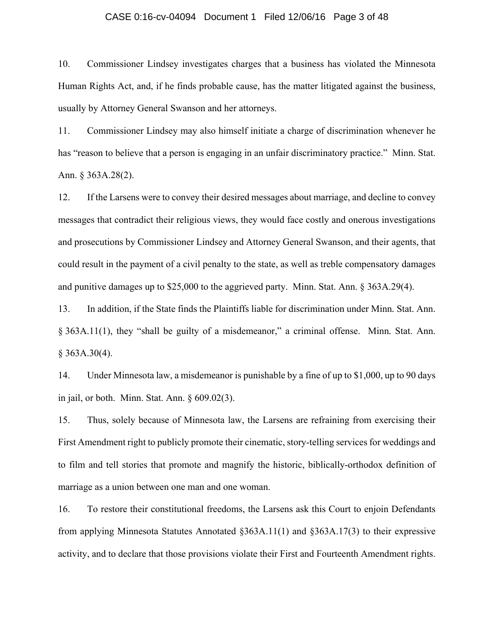## CASE 0:16-cv-04094 Document 1 Filed 12/06/16 Page 3 of 48

10. Commissioner Lindsey investigates charges that a business has violated the Minnesota Human Rights Act, and, if he finds probable cause, has the matter litigated against the business, usually by Attorney General Swanson and her attorneys.

11. Commissioner Lindsey may also himself initiate a charge of discrimination whenever he has "reason to believe that a person is engaging in an unfair discriminatory practice." Minn. Stat. Ann. § 363A.28(2).

12. If the Larsens were to convey their desired messages about marriage, and decline to convey messages that contradict their religious views, they would face costly and onerous investigations and prosecutions by Commissioner Lindsey and Attorney General Swanson, and their agents, that could result in the payment of a civil penalty to the state, as well as treble compensatory damages and punitive damages up to \$25,000 to the aggrieved party. Minn. Stat. Ann. § 363A.29(4).

13. In addition, if the State finds the Plaintiffs liable for discrimination under Minn*.* Stat. Ann. § 363A.11(1), they "shall be guilty of a misdemeanor," a criminal offense. Minn*.* Stat. Ann. § 363A.30(4).

14. Under Minnesota law, a misdemeanor is punishable by a fine of up to \$1,000, up to 90 days in jail, or both. Minn. Stat. Ann. § 609.02(3).

15. Thus, solely because of Minnesota law, the Larsens are refraining from exercising their First Amendment right to publicly promote their cinematic, story-telling services for weddings and to film and tell stories that promote and magnify the historic, biblically-orthodox definition of marriage as a union between one man and one woman.

16. To restore their constitutional freedoms, the Larsens ask this Court to enjoin Defendants from applying Minnesota Statutes Annotated §363A.11(1) and §363A.17(3) to their expressive activity, and to declare that those provisions violate their First and Fourteenth Amendment rights.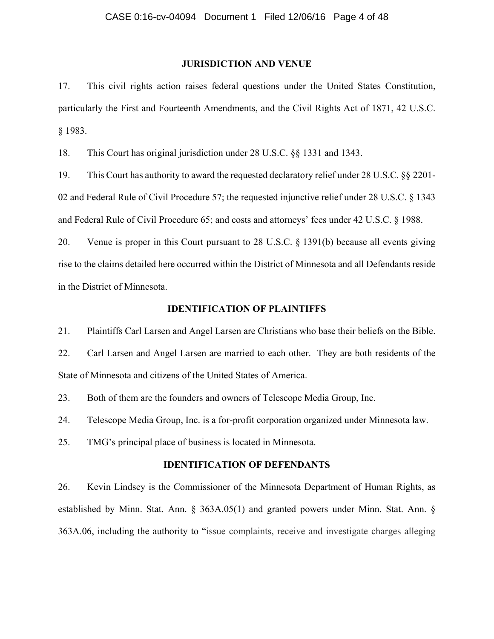## **JURISDICTION AND VENUE**

17. This civil rights action raises federal questions under the United States Constitution, particularly the First and Fourteenth Amendments, and the Civil Rights Act of 1871, 42 U.S.C. § 1983.

18. This Court has original jurisdiction under 28 U.S.C. §§ 1331 and 1343.

19. This Court has authority to award the requested declaratory relief under 28 U.S.C. §§ 2201- 02 and Federal Rule of Civil Procedure 57; the requested injunctive relief under 28 U.S.C. § 1343 and Federal Rule of Civil Procedure 65; and costs and attorneys' fees under 42 U.S.C. § 1988.

20. Venue is proper in this Court pursuant to 28 U.S.C. § 1391(b) because all events giving rise to the claims detailed here occurred within the District of Minnesota and all Defendants reside in the District of Minnesota.

## **IDENTIFICATION OF PLAINTIFFS**

21. Plaintiffs Carl Larsen and Angel Larsen are Christians who base their beliefs on the Bible.

22. Carl Larsen and Angel Larsen are married to each other. They are both residents of the State of Minnesota and citizens of the United States of America.

23. Both of them are the founders and owners of Telescope Media Group, Inc.

24. Telescope Media Group, Inc. is a for-profit corporation organized under Minnesota law.

25. TMG's principal place of business is located in Minnesota.

### **IDENTIFICATION OF DEFENDANTS**

26. Kevin Lindsey is the Commissioner of the Minnesota Department of Human Rights, as established by Minn. Stat. Ann. § 363A.05(1) and granted powers under Minn. Stat. Ann. § 363A.06, including the authority to "issue complaints, receive and investigate charges alleging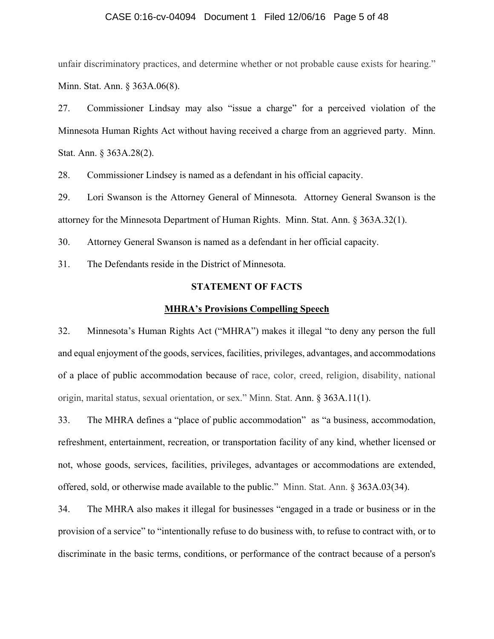## CASE 0:16-cv-04094 Document 1 Filed 12/06/16 Page 5 of 48

unfair discriminatory practices, and determine whether or not probable cause exists for hearing." Minn. Stat. Ann. § 363A.06(8).

27. Commissioner Lindsay may also "issue a charge" for a perceived violation of the Minnesota Human Rights Act without having received a charge from an aggrieved party. Minn. Stat. Ann. § 363A.28(2).

28. Commissioner Lindsey is named as a defendant in his official capacity.

29. Lori Swanson is the Attorney General of Minnesota. Attorney General Swanson is the attorney for the Minnesota Department of Human Rights. Minn. Stat. Ann. § 363A.32(1).

30. Attorney General Swanson is named as a defendant in her official capacity.

31. The Defendants reside in the District of Minnesota.

## **STATEMENT OF FACTS**

### **MHRA's Provisions Compelling Speech**

32. Minnesota's Human Rights Act ("MHRA") makes it illegal "to deny any person the full and equal enjoyment of the goods, services, facilities, privileges, advantages, and accommodations of a place of public accommodation because of race, color, creed, religion, disability, national origin, marital status, sexual orientation, or sex." Minn. Stat. Ann. § 363A.11(1).

33. The MHRA defines a "place of public accommodation" as "a business, accommodation, refreshment, entertainment, recreation, or transportation facility of any kind, whether licensed or not, whose goods, services, facilities, privileges, advantages or accommodations are extended, offered, sold, or otherwise made available to the public." Minn. Stat. Ann. § 363A.03(34).

34. The MHRA also makes it illegal for businesses "engaged in a trade or business or in the provision of a service" to "intentionally refuse to do business with, to refuse to contract with, or to discriminate in the basic terms, conditions, or performance of the contract because of a person's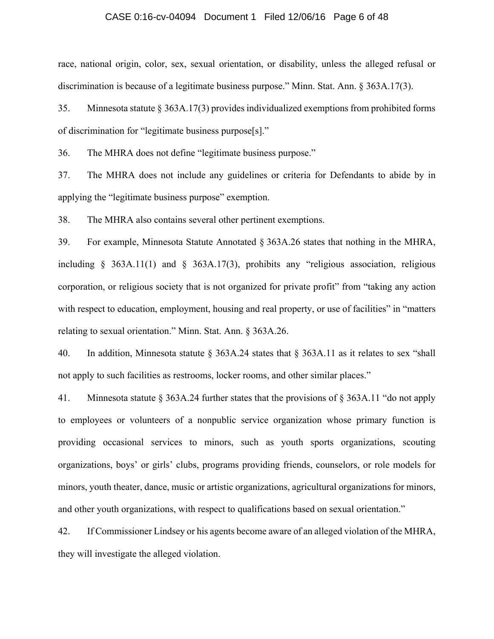## CASE 0:16-cv-04094 Document 1 Filed 12/06/16 Page 6 of 48

race, national origin, color, sex, sexual orientation, or disability, unless the alleged refusal or discrimination is because of a legitimate business purpose." Minn. Stat. Ann. § 363A.17(3).

35. Minnesota statute § 363A.17(3) provides individualized exemptions from prohibited forms of discrimination for "legitimate business purpose[s]."

36. The MHRA does not define "legitimate business purpose."

37. The MHRA does not include any guidelines or criteria for Defendants to abide by in applying the "legitimate business purpose" exemption.

38. The MHRA also contains several other pertinent exemptions.

39. For example, Minnesota Statute Annotated § 363A.26 states that nothing in the MHRA, including § 363A.11(1) and § 363A.17(3), prohibits any "religious association, religious corporation, or religious society that is not organized for private profit" from "taking any action with respect to education, employment, housing and real property, or use of facilities" in "matters" relating to sexual orientation." Minn. Stat. Ann. § 363A.26.

40. In addition, Minnesota statute § 363A.24 states that § 363A.11 as it relates to sex "shall not apply to such facilities as restrooms, locker rooms, and other similar places."

41. Minnesota statute § 363A.24 further states that the provisions of § 363A.11 "do not apply to employees or volunteers of a nonpublic service organization whose primary function is providing occasional services to minors, such as youth sports organizations, scouting organizations, boys' or girls' clubs, programs providing friends, counselors, or role models for minors, youth theater, dance, music or artistic organizations, agricultural organizations for minors, and other youth organizations, with respect to qualifications based on sexual orientation."

42. If Commissioner Lindsey or his agents become aware of an alleged violation of the MHRA, they will investigate the alleged violation.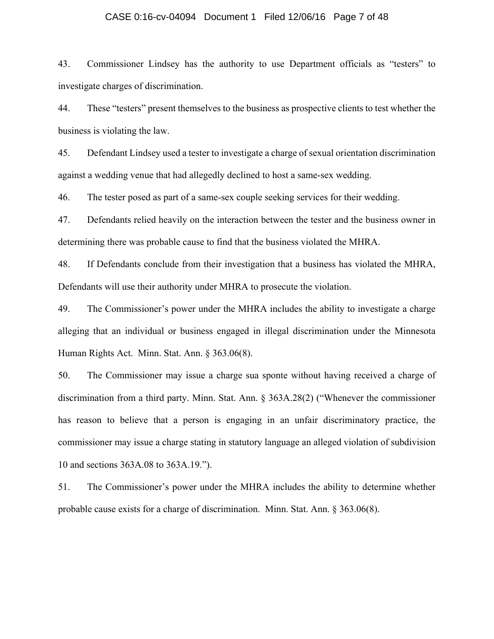## CASE 0:16-cv-04094 Document 1 Filed 12/06/16 Page 7 of 48

43. Commissioner Lindsey has the authority to use Department officials as "testers" to investigate charges of discrimination.

44. These "testers" present themselves to the business as prospective clients to test whether the business is violating the law.

45. Defendant Lindsey used a tester to investigate a charge of sexual orientation discrimination against a wedding venue that had allegedly declined to host a same-sex wedding.

46. The tester posed as part of a same-sex couple seeking services for their wedding.

47. Defendants relied heavily on the interaction between the tester and the business owner in determining there was probable cause to find that the business violated the MHRA.

48. If Defendants conclude from their investigation that a business has violated the MHRA, Defendants will use their authority under MHRA to prosecute the violation.

49. The Commissioner's power under the MHRA includes the ability to investigate a charge alleging that an individual or business engaged in illegal discrimination under the Minnesota Human Rights Act. Minn. Stat. Ann. § 363.06(8).

50. The Commissioner may issue a charge sua sponte without having received a charge of discrimination from a third party. Minn. Stat. Ann. § 363A.28(2) ("Whenever the commissioner has reason to believe that a person is engaging in an unfair discriminatory practice, the commissioner may issue a charge stating in statutory language an alleged violation of subdivision 10 and sections 363A.08 to 363A.19.").

51. The Commissioner's power under the MHRA includes the ability to determine whether probable cause exists for a charge of discrimination. Minn. Stat. Ann. § 363.06(8).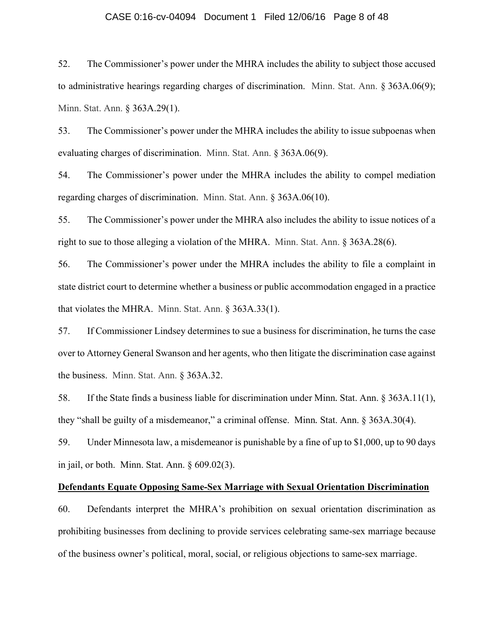## CASE 0:16-cv-04094 Document 1 Filed 12/06/16 Page 8 of 48

52. The Commissioner's power under the MHRA includes the ability to subject those accused to administrative hearings regarding charges of discrimination. Minn. Stat. Ann. § 363A.06(9); Minn. Stat. Ann. § 363A.29(1).

53. The Commissioner's power under the MHRA includes the ability to issue subpoenas when evaluating charges of discrimination. Minn. Stat. Ann. § 363A.06(9).

54. The Commissioner's power under the MHRA includes the ability to compel mediation regarding charges of discrimination. Minn. Stat. Ann. § 363A.06(10).

55. The Commissioner's power under the MHRA also includes the ability to issue notices of a right to sue to those alleging a violation of the MHRA. Minn. Stat. Ann. § 363A.28(6).

56. The Commissioner's power under the MHRA includes the ability to file a complaint in state district court to determine whether a business or public accommodation engaged in a practice that violates the MHRA. Minn. Stat. Ann. § 363A.33(1).

57. If Commissioner Lindsey determines to sue a business for discrimination, he turns the case over to Attorney General Swanson and her agents, who then litigate the discrimination case against the business. Minn. Stat. Ann. § 363A.32.

58. If the State finds a business liable for discrimination under Minn*.* Stat. Ann. § 363A.11(1), they "shall be guilty of a misdemeanor," a criminal offense. Minn. Stat. Ann. § 363A.30(4).

59. Under Minnesota law, a misdemeanor is punishable by a fine of up to \$1,000, up to 90 days in jail, or both. Minn. Stat. Ann. § 609.02(3).

## **Defendants Equate Opposing Same-Sex Marriage with Sexual Orientation Discrimination**

60. Defendants interpret the MHRA's prohibition on sexual orientation discrimination as prohibiting businesses from declining to provide services celebrating same-sex marriage because of the business owner's political, moral, social, or religious objections to same-sex marriage.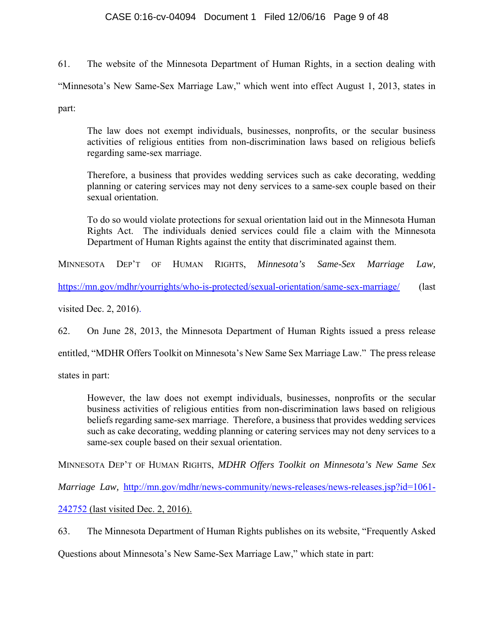## CASE 0:16-cv-04094 Document 1 Filed 12/06/16 Page 9 of 48

61. The website of the Minnesota Department of Human Rights, in a section dealing with "Minnesota's New Same-Sex Marriage Law," which went into effect August 1, 2013, states in part:

The law does not exempt individuals, businesses, nonprofits, or the secular business activities of religious entities from non-discrimination laws based on religious beliefs regarding same-sex marriage.

Therefore, a business that provides wedding services such as cake decorating, wedding planning or catering services may not deny services to a same-sex couple based on their sexual orientation.

To do so would violate protections for sexual orientation laid out in the Minnesota Human Rights Act. The individuals denied services could file a claim with the Minnesota Department of Human Rights against the entity that discriminated against them.

MINNESOTA DEP'T OF HUMAN RIGHTS, *Minnesota's Same-Sex Marriage Law,*

https://mn.gov/mdhr/yourrights/who-is-protected/sexual-orientation/same-sex-marriage/ (last

visited Dec. 2, 2016).

62. On June 28, 2013, the Minnesota Department of Human Rights issued a press release

entitled, "MDHR Offers Toolkit on Minnesota's New Same Sex Marriage Law." The press release

states in part:

However, the law does not exempt individuals, businesses, nonprofits or the secular business activities of religious entities from non-discrimination laws based on religious beliefs regarding same-sex marriage. Therefore, a business that provides wedding services such as cake decorating, wedding planning or catering services may not deny services to a same-sex couple based on their sexual orientation.

MINNESOTA DEP'T OF HUMAN RIGHTS, *MDHR Offers Toolkit on Minnesota's New Same Sex* 

*Marriage Law, http://mn.gov/mdhr/news-community/news-releases/news-releases.jsp?id=1061-*

242752 (last visited Dec. 2, 2016).

63. The Minnesota Department of Human Rights publishes on its website, "Frequently Asked

Questions about Minnesota's New Same-Sex Marriage Law," which state in part: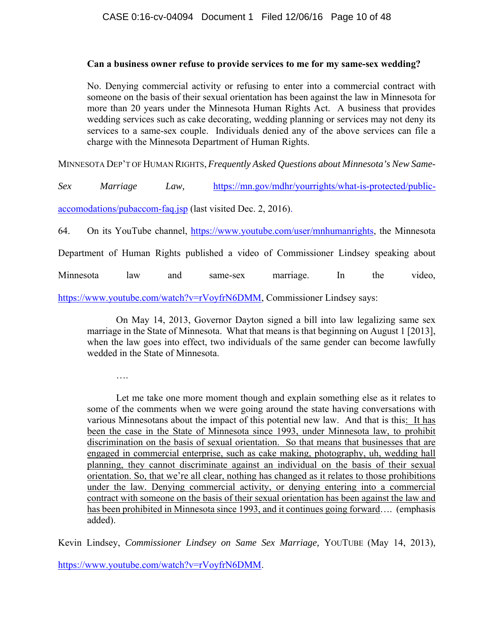## **Can a business owner refuse to provide services to me for my same-sex wedding?**

No. Denying commercial activity or refusing to enter into a commercial contract with someone on the basis of their sexual orientation has been against the law in Minnesota for more than 20 years under the Minnesota Human Rights Act. A business that provides wedding services such as cake decorating, wedding planning or services may not deny its services to a same-sex couple. Individuals denied any of the above services can file a charge with the Minnesota Department of Human Rights.

MINNESOTA DEP'T OF HUMAN RIGHTS, *Frequently Asked Questions about Minnesota's New Same-*

*Sex Marriage Law,* https://mn.gov/mdhr/yourrights/what-is-protected/publicaccomodations/pubaccom-faq.jsp (last visited Dec. 2, 2016).

64. On its YouTube channel, https://www.youtube.com/user/mnhumanrights, the Minnesota

Department of Human Rights published a video of Commissioner Lindsey speaking about

Minnesota law and same-sex marriage. In the video,

https://www.youtube.com/watch?v=rVoyfrN6DMM, Commissioner Lindsey says:

On May 14, 2013, Governor Dayton signed a bill into law legalizing same sex marriage in the State of Minnesota. What that means is that beginning on August 1 [2013], when the law goes into effect, two individuals of the same gender can become lawfully wedded in the State of Minnesota.

….

Let me take one more moment though and explain something else as it relates to some of the comments when we were going around the state having conversations with various Minnesotans about the impact of this potential new law. And that is this: It has been the case in the State of Minnesota since 1993, under Minnesota law, to prohibit discrimination on the basis of sexual orientation. So that means that businesses that are engaged in commercial enterprise, such as cake making, photography, uh, wedding hall planning, they cannot discriminate against an individual on the basis of their sexual orientation. So, that we're all clear, nothing has changed as it relates to those prohibitions under the law. Denying commercial activity, or denying entering into a commercial contract with someone on the basis of their sexual orientation has been against the law and has been prohibited in Minnesota since 1993, and it continues going forward.... (emphasis added).

Kevin Lindsey, *Commissioner Lindsey on Same Sex Marriage,* YOUTUBE (May 14, 2013),

https://www.youtube.com/watch?v=rVoyfrN6DMM.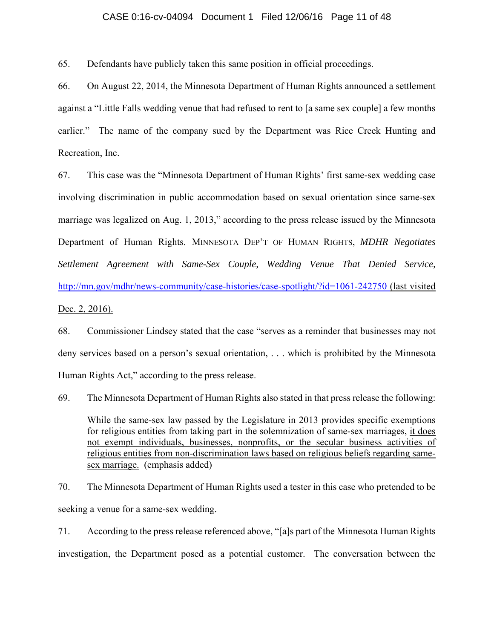## CASE 0:16-cv-04094 Document 1 Filed 12/06/16 Page 11 of 48

65. Defendants have publicly taken this same position in official proceedings.

66. On August 22, 2014, the Minnesota Department of Human Rights announced a settlement against a "Little Falls wedding venue that had refused to rent to [a same sex couple] a few months earlier." The name of the company sued by the Department was Rice Creek Hunting and Recreation, Inc.

67. This case was the "Minnesota Department of Human Rights' first same-sex wedding case involving discrimination in public accommodation based on sexual orientation since same-sex marriage was legalized on Aug. 1, 2013," according to the press release issued by the Minnesota Department of Human Rights. MINNESOTA DEP'T OF HUMAN RIGHTS, *MDHR Negotiates Settlement Agreement with Same-Sex Couple, Wedding Venue That Denied Service,* http://mn.gov/mdhr/news-community/case-histories/case-spotlight/?id=1061-242750 (last visited Dec. 2, 2016).

68. Commissioner Lindsey stated that the case "serves as a reminder that businesses may not deny services based on a person's sexual orientation, . . . which is prohibited by the Minnesota Human Rights Act," according to the press release.

69. The Minnesota Department of Human Rights also stated in that press release the following:

While the same-sex law passed by the Legislature in 2013 provides specific exemptions for religious entities from taking part in the solemnization of same-sex marriages, it does not exempt individuals, businesses, nonprofits, or the secular business activities of religious entities from non-discrimination laws based on religious beliefs regarding samesex marriage. (emphasis added)

70. The Minnesota Department of Human Rights used a tester in this case who pretended to be seeking a venue for a same-sex wedding.

71. According to the press release referenced above, "[a]s part of the Minnesota Human Rights investigation, the Department posed as a potential customer. The conversation between the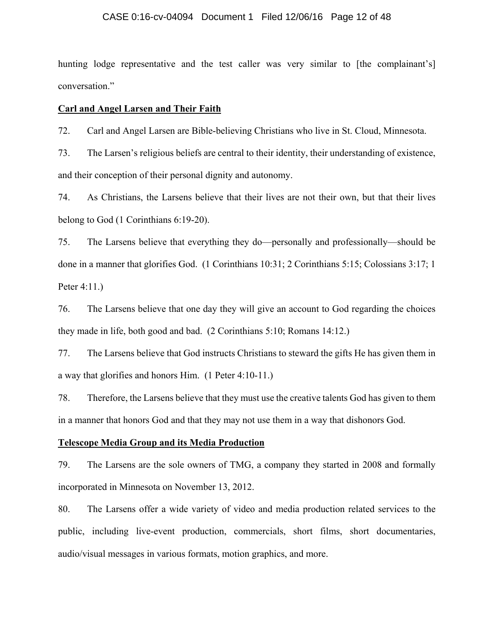## CASE 0:16-cv-04094 Document 1 Filed 12/06/16 Page 12 of 48

hunting lodge representative and the test caller was very similar to [the complainant's] conversation."

## **Carl and Angel Larsen and Their Faith**

72. Carl and Angel Larsen are Bible-believing Christians who live in St. Cloud, Minnesota.

73. The Larsen's religious beliefs are central to their identity, their understanding of existence, and their conception of their personal dignity and autonomy.

74. As Christians, the Larsens believe that their lives are not their own, but that their lives belong to God (1 Corinthians 6:19-20).

75. The Larsens believe that everything they do—personally and professionally—should be done in a manner that glorifies God. (1 Corinthians 10:31; 2 Corinthians 5:15; Colossians 3:17; 1 Peter 4:11.)

76. The Larsens believe that one day they will give an account to God regarding the choices they made in life, both good and bad. (2 Corinthians 5:10; Romans 14:12.)

77. The Larsens believe that God instructs Christians to steward the gifts He has given them in a way that glorifies and honors Him. (1 Peter 4:10-11.)

78. Therefore, the Larsens believe that they must use the creative talents God has given to them in a manner that honors God and that they may not use them in a way that dishonors God.

## **Telescope Media Group and its Media Production**

79. The Larsens are the sole owners of TMG, a company they started in 2008 and formally incorporated in Minnesota on November 13, 2012.

80. The Larsens offer a wide variety of video and media production related services to the public, including live-event production, commercials, short films, short documentaries, audio/visual messages in various formats, motion graphics, and more.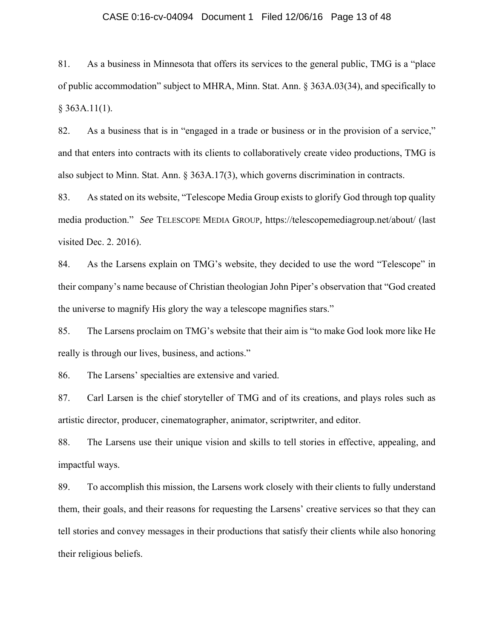## CASE 0:16-cv-04094 Document 1 Filed 12/06/16 Page 13 of 48

81. As a business in Minnesota that offers its services to the general public, TMG is a "place of public accommodation" subject to MHRA, Minn. Stat. Ann. § 363A.03(34), and specifically to  $§$  363A.11(1).

82. As a business that is in "engaged in a trade or business or in the provision of a service," and that enters into contracts with its clients to collaboratively create video productions, TMG is also subject to Minn. Stat. Ann. § 363A.17(3), which governs discrimination in contracts.

83. As stated on its website, "Telescope Media Group exists to glorify God through top quality media production." *See* TELESCOPE MEDIA GROUP*,* https://telescopemediagroup.net/about/ (last visited Dec. 2. 2016).

84. As the Larsens explain on TMG's website, they decided to use the word "Telescope" in their company's name because of Christian theologian John Piper's observation that "God created the universe to magnify His glory the way a telescope magnifies stars."

85. The Larsens proclaim on TMG's website that their aim is "to make God look more like He really is through our lives, business, and actions."

86. The Larsens' specialties are extensive and varied.

87. Carl Larsen is the chief storyteller of TMG and of its creations, and plays roles such as artistic director, producer, cinematographer, animator, scriptwriter, and editor.

88. The Larsens use their unique vision and skills to tell stories in effective, appealing, and impactful ways.

89. To accomplish this mission, the Larsens work closely with their clients to fully understand them, their goals, and their reasons for requesting the Larsens' creative services so that they can tell stories and convey messages in their productions that satisfy their clients while also honoring their religious beliefs.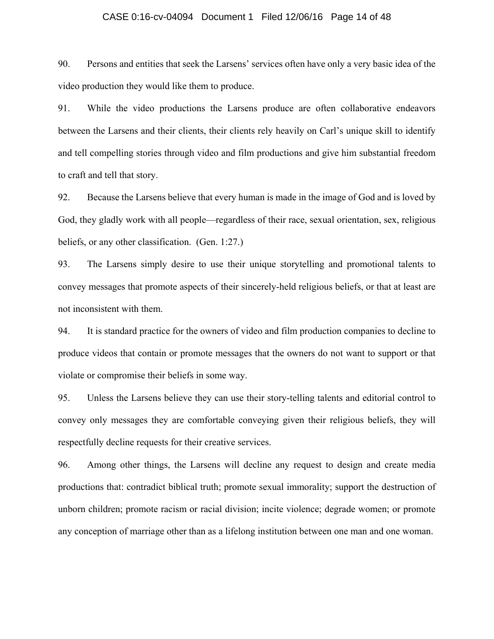### CASE 0:16-cv-04094 Document 1 Filed 12/06/16 Page 14 of 48

90. Persons and entities that seek the Larsens' services often have only a very basic idea of the video production they would like them to produce.

91. While the video productions the Larsens produce are often collaborative endeavors between the Larsens and their clients, their clients rely heavily on Carl's unique skill to identify and tell compelling stories through video and film productions and give him substantial freedom to craft and tell that story.

92. Because the Larsens believe that every human is made in the image of God and is loved by God, they gladly work with all people—regardless of their race, sexual orientation, sex, religious beliefs, or any other classification. (Gen. 1:27.)

93. The Larsens simply desire to use their unique storytelling and promotional talents to convey messages that promote aspects of their sincerely-held religious beliefs, or that at least are not inconsistent with them.

94. It is standard practice for the owners of video and film production companies to decline to produce videos that contain or promote messages that the owners do not want to support or that violate or compromise their beliefs in some way.

95. Unless the Larsens believe they can use their story-telling talents and editorial control to convey only messages they are comfortable conveying given their religious beliefs, they will respectfully decline requests for their creative services.

96. Among other things, the Larsens will decline any request to design and create media productions that: contradict biblical truth; promote sexual immorality; support the destruction of unborn children; promote racism or racial division; incite violence; degrade women; or promote any conception of marriage other than as a lifelong institution between one man and one woman.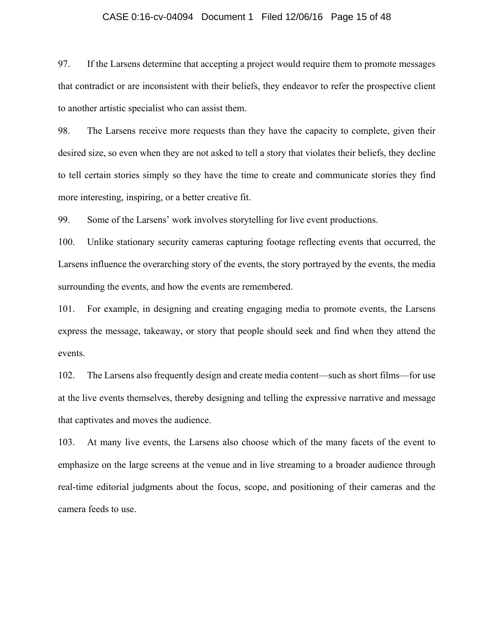## CASE 0:16-cv-04094 Document 1 Filed 12/06/16 Page 15 of 48

97. If the Larsens determine that accepting a project would require them to promote messages that contradict or are inconsistent with their beliefs, they endeavor to refer the prospective client to another artistic specialist who can assist them.

98. The Larsens receive more requests than they have the capacity to complete, given their desired size, so even when they are not asked to tell a story that violates their beliefs, they decline to tell certain stories simply so they have the time to create and communicate stories they find more interesting, inspiring, or a better creative fit.

99. Some of the Larsens' work involves storytelling for live event productions.

100. Unlike stationary security cameras capturing footage reflecting events that occurred, the Larsens influence the overarching story of the events, the story portrayed by the events, the media surrounding the events, and how the events are remembered.

101. For example, in designing and creating engaging media to promote events, the Larsens express the message, takeaway, or story that people should seek and find when they attend the events.

102. The Larsens also frequently design and create media content—such as short films—for use at the live events themselves, thereby designing and telling the expressive narrative and message that captivates and moves the audience.

103. At many live events, the Larsens also choose which of the many facets of the event to emphasize on the large screens at the venue and in live streaming to a broader audience through real-time editorial judgments about the focus, scope, and positioning of their cameras and the camera feeds to use.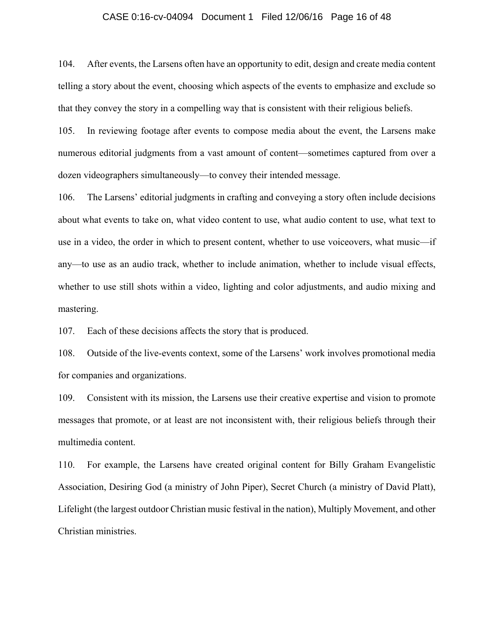## CASE 0:16-cv-04094 Document 1 Filed 12/06/16 Page 16 of 48

104. After events, the Larsens often have an opportunity to edit, design and create media content telling a story about the event, choosing which aspects of the events to emphasize and exclude so that they convey the story in a compelling way that is consistent with their religious beliefs.

105. In reviewing footage after events to compose media about the event, the Larsens make numerous editorial judgments from a vast amount of content—sometimes captured from over a dozen videographers simultaneously—to convey their intended message.

106. The Larsens' editorial judgments in crafting and conveying a story often include decisions about what events to take on, what video content to use, what audio content to use, what text to use in a video, the order in which to present content, whether to use voiceovers, what music—if any—to use as an audio track, whether to include animation, whether to include visual effects, whether to use still shots within a video, lighting and color adjustments, and audio mixing and mastering.

107. Each of these decisions affects the story that is produced.

108. Outside of the live-events context, some of the Larsens' work involves promotional media for companies and organizations.

109. Consistent with its mission, the Larsens use their creative expertise and vision to promote messages that promote, or at least are not inconsistent with, their religious beliefs through their multimedia content.

110. For example, the Larsens have created original content for Billy Graham Evangelistic Association, Desiring God (a ministry of John Piper), Secret Church (a ministry of David Platt), Lifelight (the largest outdoor Christian music festival in the nation), Multiply Movement, and other Christian ministries.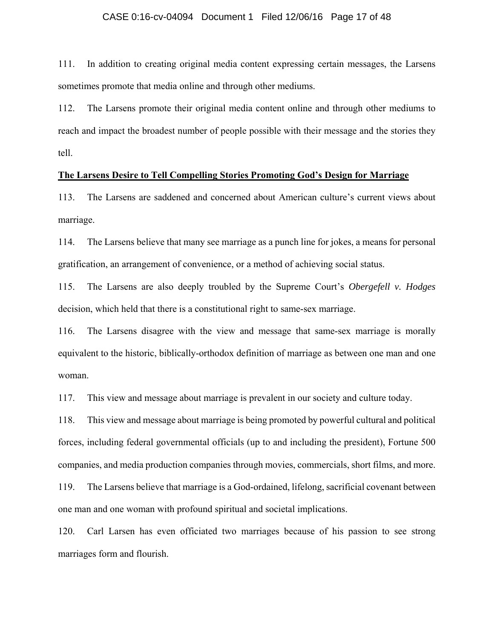## CASE 0:16-cv-04094 Document 1 Filed 12/06/16 Page 17 of 48

111. In addition to creating original media content expressing certain messages, the Larsens sometimes promote that media online and through other mediums.

112. The Larsens promote their original media content online and through other mediums to reach and impact the broadest number of people possible with their message and the stories they tell.

## **The Larsens Desire to Tell Compelling Stories Promoting God's Design for Marriage**

113. The Larsens are saddened and concerned about American culture's current views about marriage.

114. The Larsens believe that many see marriage as a punch line for jokes, a means for personal gratification, an arrangement of convenience, or a method of achieving social status.

115. The Larsens are also deeply troubled by the Supreme Court's *Obergefell v. Hodges* decision, which held that there is a constitutional right to same-sex marriage.

116. The Larsens disagree with the view and message that same-sex marriage is morally equivalent to the historic, biblically-orthodox definition of marriage as between one man and one woman.

117. This view and message about marriage is prevalent in our society and culture today.

118. This view and message about marriage is being promoted by powerful cultural and political forces, including federal governmental officials (up to and including the president), Fortune 500 companies, and media production companies through movies, commercials, short films, and more.

119. The Larsens believe that marriage is a God-ordained, lifelong, sacrificial covenant between one man and one woman with profound spiritual and societal implications.

120. Carl Larsen has even officiated two marriages because of his passion to see strong marriages form and flourish.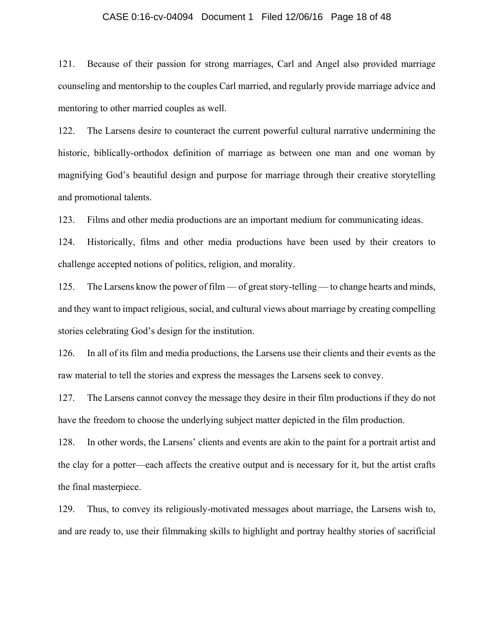## CASE 0:16-cv-04094 Document 1 Filed 12/06/16 Page 18 of 48

121. Because of their passion for strong marriages, Carl and Angel also provided marriage counseling and mentorship to the couples Carl married, and regularly provide marriage advice and mentoring to other married couples as well.

122. The Larsens desire to counteract the current powerful cultural narrative undermining the historic, biblically-orthodox definition of marriage as between one man and one woman by magnifying God's beautiful design and purpose for marriage through their creative storytelling and promotional talents.

123. Films and other media productions are an important medium for communicating ideas.

124. Historically, films and other media productions have been used by their creators to challenge accepted notions of politics, religion, and morality.

125. The Larsens know the power of film — of great story-telling — to change hearts and minds, and they want to impact religious, social, and cultural views about marriage by creating compelling stories celebrating God's design for the institution.

126. In all of its film and media productions, the Larsens use their clients and their events as the raw material to tell the stories and express the messages the Larsens seek to convey.

127. The Larsens cannot convey the message they desire in their film productions if they do not have the freedom to choose the underlying subject matter depicted in the film production.

128. In other words, the Larsens' clients and events are akin to the paint for a portrait artist and the clay for a potter—each affects the creative output and is necessary for it, but the artist crafts the final masterpiece.

129. Thus, to convey its religiously-motivated messages about marriage, the Larsens wish to, and are ready to, use their filmmaking skills to highlight and portray healthy stories of sacrificial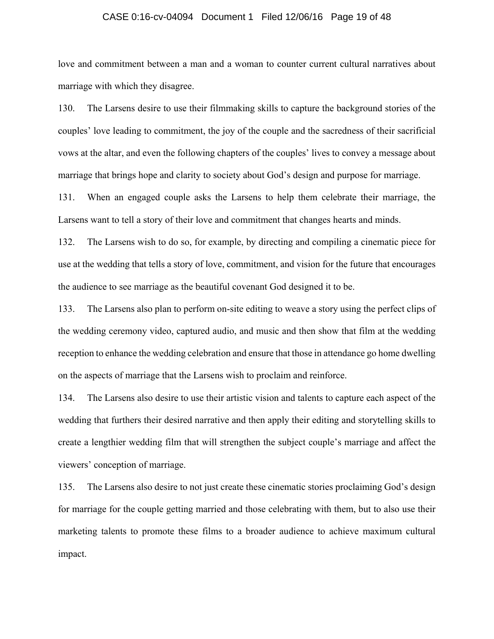## CASE 0:16-cv-04094 Document 1 Filed 12/06/16 Page 19 of 48

love and commitment between a man and a woman to counter current cultural narratives about marriage with which they disagree.

130. The Larsens desire to use their filmmaking skills to capture the background stories of the couples' love leading to commitment, the joy of the couple and the sacredness of their sacrificial vows at the altar, and even the following chapters of the couples' lives to convey a message about marriage that brings hope and clarity to society about God's design and purpose for marriage.

131. When an engaged couple asks the Larsens to help them celebrate their marriage, the Larsens want to tell a story of their love and commitment that changes hearts and minds.

132. The Larsens wish to do so, for example, by directing and compiling a cinematic piece for use at the wedding that tells a story of love, commitment, and vision for the future that encourages the audience to see marriage as the beautiful covenant God designed it to be.

133. The Larsens also plan to perform on-site editing to weave a story using the perfect clips of the wedding ceremony video, captured audio, and music and then show that film at the wedding reception to enhance the wedding celebration and ensure that those in attendance go home dwelling on the aspects of marriage that the Larsens wish to proclaim and reinforce.

134. The Larsens also desire to use their artistic vision and talents to capture each aspect of the wedding that furthers their desired narrative and then apply their editing and storytelling skills to create a lengthier wedding film that will strengthen the subject couple's marriage and affect the viewers' conception of marriage.

135. The Larsens also desire to not just create these cinematic stories proclaiming God's design for marriage for the couple getting married and those celebrating with them, but to also use their marketing talents to promote these films to a broader audience to achieve maximum cultural impact.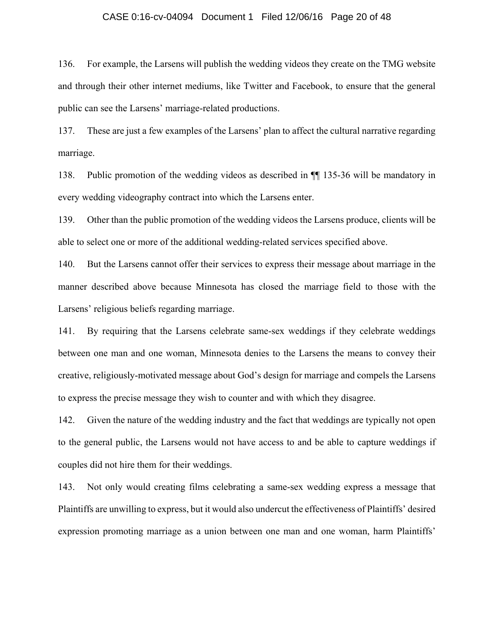## CASE 0:16-cv-04094 Document 1 Filed 12/06/16 Page 20 of 48

136. For example, the Larsens will publish the wedding videos they create on the TMG website and through their other internet mediums, like Twitter and Facebook, to ensure that the general public can see the Larsens' marriage-related productions.

137. These are just a few examples of the Larsens' plan to affect the cultural narrative regarding marriage.

138. Public promotion of the wedding videos as described in ¶¶ 135-36 will be mandatory in every wedding videography contract into which the Larsens enter.

139. Other than the public promotion of the wedding videos the Larsens produce, clients will be able to select one or more of the additional wedding-related services specified above.

140. But the Larsens cannot offer their services to express their message about marriage in the manner described above because Minnesota has closed the marriage field to those with the Larsens' religious beliefs regarding marriage.

141. By requiring that the Larsens celebrate same-sex weddings if they celebrate weddings between one man and one woman, Minnesota denies to the Larsens the means to convey their creative, religiously-motivated message about God's design for marriage and compels the Larsens to express the precise message they wish to counter and with which they disagree.

142. Given the nature of the wedding industry and the fact that weddings are typically not open to the general public, the Larsens would not have access to and be able to capture weddings if couples did not hire them for their weddings.

143. Not only would creating films celebrating a same-sex wedding express a message that Plaintiffs are unwilling to express, but it would also undercut the effectiveness of Plaintiffs' desired expression promoting marriage as a union between one man and one woman, harm Plaintiffs'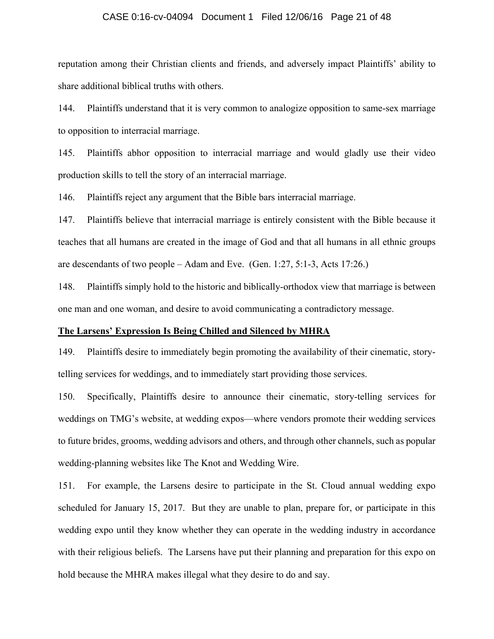## CASE 0:16-cv-04094 Document 1 Filed 12/06/16 Page 21 of 48

reputation among their Christian clients and friends, and adversely impact Plaintiffs' ability to share additional biblical truths with others.

144. Plaintiffs understand that it is very common to analogize opposition to same-sex marriage to opposition to interracial marriage.

145. Plaintiffs abhor opposition to interracial marriage and would gladly use their video production skills to tell the story of an interracial marriage.

146. Plaintiffs reject any argument that the Bible bars interracial marriage.

147. Plaintiffs believe that interracial marriage is entirely consistent with the Bible because it teaches that all humans are created in the image of God and that all humans in all ethnic groups are descendants of two people – Adam and Eve. (Gen. 1:27, 5:1-3, Acts 17:26.)

148. Plaintiffs simply hold to the historic and biblically-orthodox view that marriage is between one man and one woman, and desire to avoid communicating a contradictory message.

## **The Larsens' Expression Is Being Chilled and Silenced by MHRA**

149. Plaintiffs desire to immediately begin promoting the availability of their cinematic, storytelling services for weddings, and to immediately start providing those services.

150. Specifically, Plaintiffs desire to announce their cinematic, story-telling services for weddings on TMG's website, at wedding expos—where vendors promote their wedding services to future brides, grooms, wedding advisors and others, and through other channels, such as popular wedding-planning websites like The Knot and Wedding Wire.

151. For example, the Larsens desire to participate in the St. Cloud annual wedding expo scheduled for January 15, 2017. But they are unable to plan, prepare for, or participate in this wedding expo until they know whether they can operate in the wedding industry in accordance with their religious beliefs. The Larsens have put their planning and preparation for this expo on hold because the MHRA makes illegal what they desire to do and say.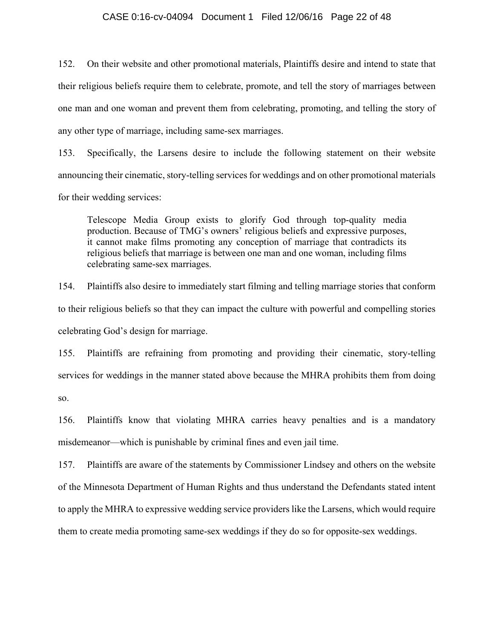## CASE 0:16-cv-04094 Document 1 Filed 12/06/16 Page 22 of 48

152. On their website and other promotional materials, Plaintiffs desire and intend to state that their religious beliefs require them to celebrate, promote, and tell the story of marriages between one man and one woman and prevent them from celebrating, promoting, and telling the story of any other type of marriage, including same-sex marriages.

153. Specifically, the Larsens desire to include the following statement on their website announcing their cinematic, story-telling services for weddings and on other promotional materials for their wedding services:

Telescope Media Group exists to glorify God through top-quality media production. Because of TMG's owners' religious beliefs and expressive purposes, it cannot make films promoting any conception of marriage that contradicts its religious beliefs that marriage is between one man and one woman, including films celebrating same-sex marriages.

154. Plaintiffs also desire to immediately start filming and telling marriage stories that conform to their religious beliefs so that they can impact the culture with powerful and compelling stories celebrating God's design for marriage.

155. Plaintiffs are refraining from promoting and providing their cinematic, story-telling services for weddings in the manner stated above because the MHRA prohibits them from doing so.

156. Plaintiffs know that violating MHRA carries heavy penalties and is a mandatory misdemeanor—which is punishable by criminal fines and even jail time.

157. Plaintiffs are aware of the statements by Commissioner Lindsey and others on the website of the Minnesota Department of Human Rights and thus understand the Defendants stated intent to apply the MHRA to expressive wedding service providers like the Larsens, which would require them to create media promoting same-sex weddings if they do so for opposite-sex weddings.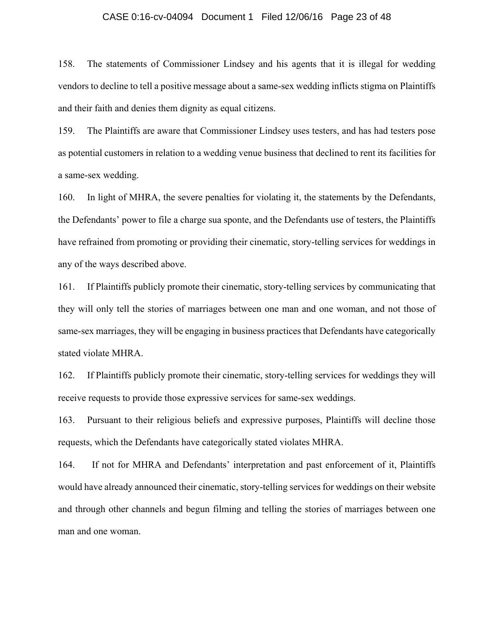## CASE 0:16-cv-04094 Document 1 Filed 12/06/16 Page 23 of 48

158. The statements of Commissioner Lindsey and his agents that it is illegal for wedding vendors to decline to tell a positive message about a same-sex wedding inflicts stigma on Plaintiffs and their faith and denies them dignity as equal citizens.

159. The Plaintiffs are aware that Commissioner Lindsey uses testers, and has had testers pose as potential customers in relation to a wedding venue business that declined to rent its facilities for a same-sex wedding.

160. In light of MHRA, the severe penalties for violating it, the statements by the Defendants, the Defendants' power to file a charge sua sponte, and the Defendants use of testers, the Plaintiffs have refrained from promoting or providing their cinematic, story-telling services for weddings in any of the ways described above.

161. If Plaintiffs publicly promote their cinematic, story-telling services by communicating that they will only tell the stories of marriages between one man and one woman, and not those of same-sex marriages, they will be engaging in business practices that Defendants have categorically stated violate MHRA.

162. If Plaintiffs publicly promote their cinematic, story-telling services for weddings they will receive requests to provide those expressive services for same-sex weddings.

163. Pursuant to their religious beliefs and expressive purposes, Plaintiffs will decline those requests, which the Defendants have categorically stated violates MHRA.

164. If not for MHRA and Defendants' interpretation and past enforcement of it, Plaintiffs would have already announced their cinematic, story-telling services for weddings on their website and through other channels and begun filming and telling the stories of marriages between one man and one woman.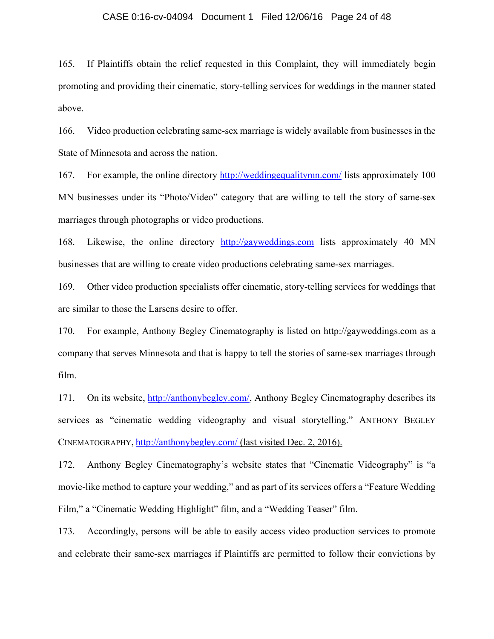### CASE 0:16-cv-04094 Document 1 Filed 12/06/16 Page 24 of 48

165. If Plaintiffs obtain the relief requested in this Complaint, they will immediately begin promoting and providing their cinematic, story-telling services for weddings in the manner stated above.

166. Video production celebrating same-sex marriage is widely available from businesses in the State of Minnesota and across the nation.

167. For example, the online directory http://weddingequalitymn.com/ lists approximately 100 MN businesses under its "Photo/Video" category that are willing to tell the story of same-sex marriages through photographs or video productions.

168. Likewise, the online directory http://gayweddings.com lists approximately 40 MN businesses that are willing to create video productions celebrating same-sex marriages.

169. Other video production specialists offer cinematic, story-telling services for weddings that are similar to those the Larsens desire to offer.

170. For example, Anthony Begley Cinematography is listed on http://gayweddings.com as a company that serves Minnesota and that is happy to tell the stories of same-sex marriages through film.

171. On its website, http://anthonybegley.com/, Anthony Begley Cinematography describes its services as "cinematic wedding videography and visual storytelling." ANTHONY BEGLEY CINEMATOGRAPHY, http://anthonybegley.com/ (last visited Dec. 2, 2016).

172. Anthony Begley Cinematography's website states that "Cinematic Videography" is "a movie-like method to capture your wedding," and as part of its services offers a "Feature Wedding Film," a "Cinematic Wedding Highlight" film, and a "Wedding Teaser" film.

173. Accordingly, persons will be able to easily access video production services to promote and celebrate their same-sex marriages if Plaintiffs are permitted to follow their convictions by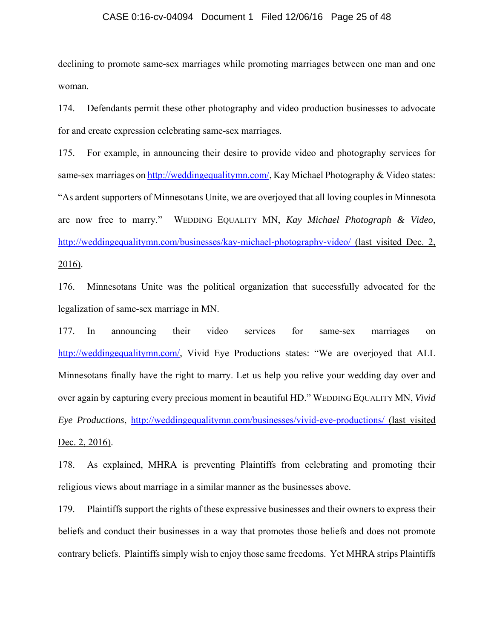## CASE 0:16-cv-04094 Document 1 Filed 12/06/16 Page 25 of 48

declining to promote same-sex marriages while promoting marriages between one man and one woman.

174. Defendants permit these other photography and video production businesses to advocate for and create expression celebrating same-sex marriages.

175. For example, in announcing their desire to provide video and photography services for same-sex marriages on http://weddingequalitymn.com/, Kay Michael Photography & Video states: "As ardent supporters of Minnesotans Unite, we are overjoyed that all loving couples in Minnesota are now free to marry." WEDDING EQUALITY MN, *Kay Michael Photograph & Video*, http://weddingequalitymn.com/businesses/kay-michael-photography-video/ (last visited Dec. 2, 2016).

176. Minnesotans Unite was the political organization that successfully advocated for the legalization of same-sex marriage in MN.

177. In announcing their video services for same-sex marriages on http://weddingequalitymn.com/, Vivid Eye Productions states: "We are overjoyed that ALL Minnesotans finally have the right to marry. Let us help you relive your wedding day over and over again by capturing every precious moment in beautiful HD." WEDDING EQUALITY MN, *Vivid Eye Productions*, http://weddingequalitymn.com/businesses/vivid-eye-productions/ (last visited Dec. 2, 2016).

178. As explained, MHRA is preventing Plaintiffs from celebrating and promoting their religious views about marriage in a similar manner as the businesses above.

179. Plaintiffs support the rights of these expressive businesses and their owners to express their beliefs and conduct their businesses in a way that promotes those beliefs and does not promote contrary beliefs. Plaintiffs simply wish to enjoy those same freedoms. Yet MHRA strips Plaintiffs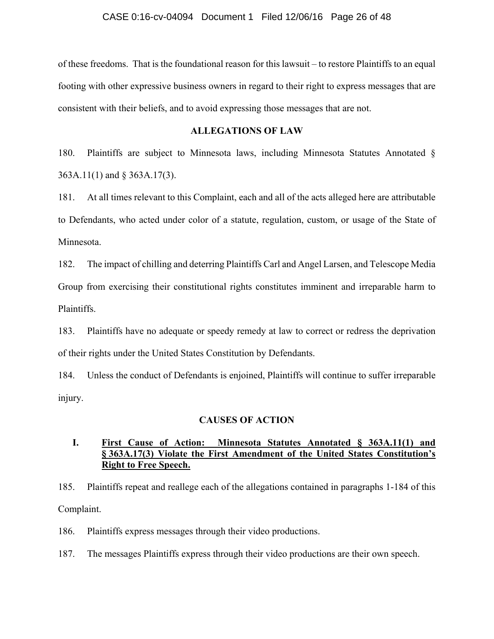of these freedoms. That is the foundational reason for this lawsuit – to restore Plaintiffs to an equal footing with other expressive business owners in regard to their right to express messages that are consistent with their beliefs, and to avoid expressing those messages that are not.

## **ALLEGATIONS OF LAW**

180. Plaintiffs are subject to Minnesota laws, including Minnesota Statutes Annotated § 363A.11(1) and § 363A.17(3).

181. At all times relevant to this Complaint, each and all of the acts alleged here are attributable to Defendants, who acted under color of a statute, regulation, custom, or usage of the State of Minnesota.

182. The impact of chilling and deterring Plaintiffs Carl and Angel Larsen, and Telescope Media Group from exercising their constitutional rights constitutes imminent and irreparable harm to Plaintiffs.

183. Plaintiffs have no adequate or speedy remedy at law to correct or redress the deprivation of their rights under the United States Constitution by Defendants.

184. Unless the conduct of Defendants is enjoined, Plaintiffs will continue to suffer irreparable injury.

## **CAUSES OF ACTION**

## **I. First Cause of Action: Minnesota Statutes Annotated § 363A.11(1) and § 363A.17(3) Violate the First Amendment of the United States Constitution's Right to Free Speech.**

185. Plaintiffs repeat and reallege each of the allegations contained in paragraphs 1-184 of this Complaint.

186. Plaintiffs express messages through their video productions.

187. The messages Plaintiffs express through their video productions are their own speech.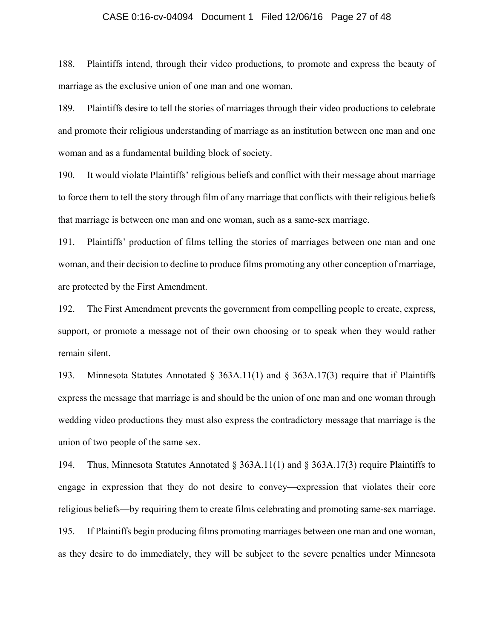### CASE 0:16-cv-04094 Document 1 Filed 12/06/16 Page 27 of 48

188. Plaintiffs intend, through their video productions, to promote and express the beauty of marriage as the exclusive union of one man and one woman.

189. Plaintiffs desire to tell the stories of marriages through their video productions to celebrate and promote their religious understanding of marriage as an institution between one man and one woman and as a fundamental building block of society.

190. It would violate Plaintiffs' religious beliefs and conflict with their message about marriage to force them to tell the story through film of any marriage that conflicts with their religious beliefs that marriage is between one man and one woman, such as a same-sex marriage.

191. Plaintiffs' production of films telling the stories of marriages between one man and one woman, and their decision to decline to produce films promoting any other conception of marriage, are protected by the First Amendment.

192. The First Amendment prevents the government from compelling people to create, express, support, or promote a message not of their own choosing or to speak when they would rather remain silent.

193. Minnesota Statutes Annotated § 363A.11(1) and § 363A.17(3) require that if Plaintiffs express the message that marriage is and should be the union of one man and one woman through wedding video productions they must also express the contradictory message that marriage is the union of two people of the same sex.

194. Thus, Minnesota Statutes Annotated § 363A.11(1) and § 363A.17(3) require Plaintiffs to engage in expression that they do not desire to convey—expression that violates their core religious beliefs—by requiring them to create films celebrating and promoting same-sex marriage. 195. If Plaintiffs begin producing films promoting marriages between one man and one woman, as they desire to do immediately, they will be subject to the severe penalties under Minnesota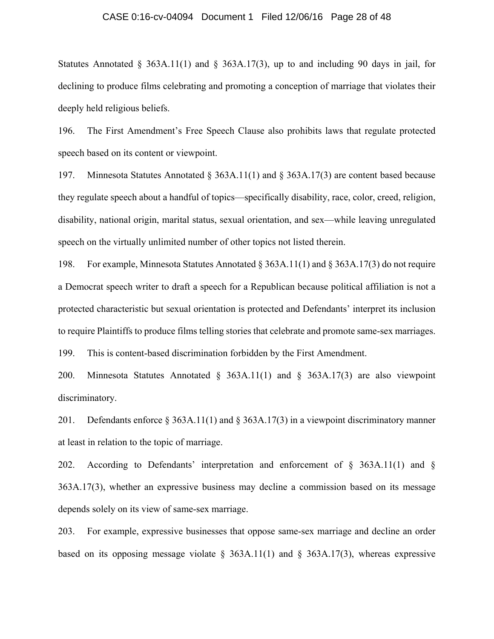### CASE 0:16-cv-04094 Document 1 Filed 12/06/16 Page 28 of 48

Statutes Annotated § 363A.11(1) and § 363A.17(3), up to and including 90 days in jail, for declining to produce films celebrating and promoting a conception of marriage that violates their deeply held religious beliefs.

196. The First Amendment's Free Speech Clause also prohibits laws that regulate protected speech based on its content or viewpoint.

197. Minnesota Statutes Annotated § 363A.11(1) and § 363A.17(3) are content based because they regulate speech about a handful of topics—specifically disability, race, color, creed, religion, disability, national origin, marital status, sexual orientation, and sex—while leaving unregulated speech on the virtually unlimited number of other topics not listed therein.

198. For example, Minnesota Statutes Annotated § 363A.11(1) and § 363A.17(3) do not require a Democrat speech writer to draft a speech for a Republican because political affiliation is not a protected characteristic but sexual orientation is protected and Defendants' interpret its inclusion to require Plaintiffs to produce films telling stories that celebrate and promote same-sex marriages.

199. This is content-based discrimination forbidden by the First Amendment.

200. Minnesota Statutes Annotated § 363A.11(1) and § 363A.17(3) are also viewpoint discriminatory.

201. Defendants enforce § 363A.11(1) and § 363A.17(3) in a viewpoint discriminatory manner at least in relation to the topic of marriage.

202. According to Defendants' interpretation and enforcement of § 363A.11(1) and § 363A.17(3), whether an expressive business may decline a commission based on its message depends solely on its view of same-sex marriage.

203. For example, expressive businesses that oppose same-sex marriage and decline an order based on its opposing message violate  $\S$  363A.11(1) and  $\S$  363A.17(3), whereas expressive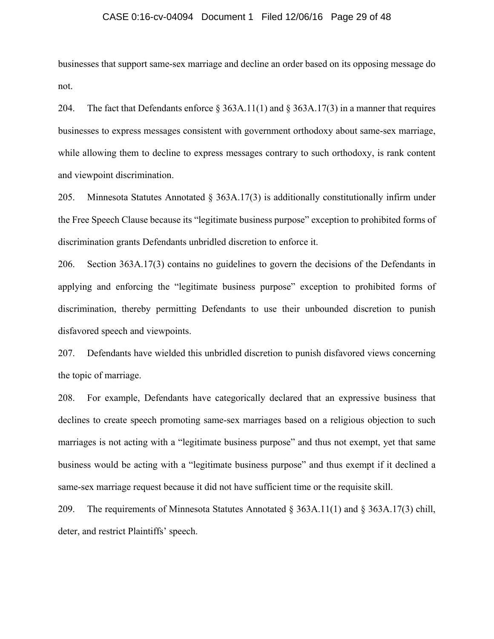### CASE 0:16-cv-04094 Document 1 Filed 12/06/16 Page 29 of 48

businesses that support same-sex marriage and decline an order based on its opposing message do not.

204. The fact that Defendants enforce  $\&$  363A.11(1) and  $\&$  363A.17(3) in a manner that requires businesses to express messages consistent with government orthodoxy about same-sex marriage, while allowing them to decline to express messages contrary to such orthodoxy, is rank content and viewpoint discrimination.

205. Minnesota Statutes Annotated § 363A.17(3) is additionally constitutionally infirm under the Free Speech Clause because its "legitimate business purpose" exception to prohibited forms of discrimination grants Defendants unbridled discretion to enforce it.

206. Section 363A.17(3) contains no guidelines to govern the decisions of the Defendants in applying and enforcing the "legitimate business purpose" exception to prohibited forms of discrimination, thereby permitting Defendants to use their unbounded discretion to punish disfavored speech and viewpoints.

207. Defendants have wielded this unbridled discretion to punish disfavored views concerning the topic of marriage.

208. For example, Defendants have categorically declared that an expressive business that declines to create speech promoting same-sex marriages based on a religious objection to such marriages is not acting with a "legitimate business purpose" and thus not exempt, yet that same business would be acting with a "legitimate business purpose" and thus exempt if it declined a same-sex marriage request because it did not have sufficient time or the requisite skill.

209. The requirements of Minnesota Statutes Annotated  $\S 363A.11(1)$  and  $\S 363A.17(3)$  chill, deter, and restrict Plaintiffs' speech.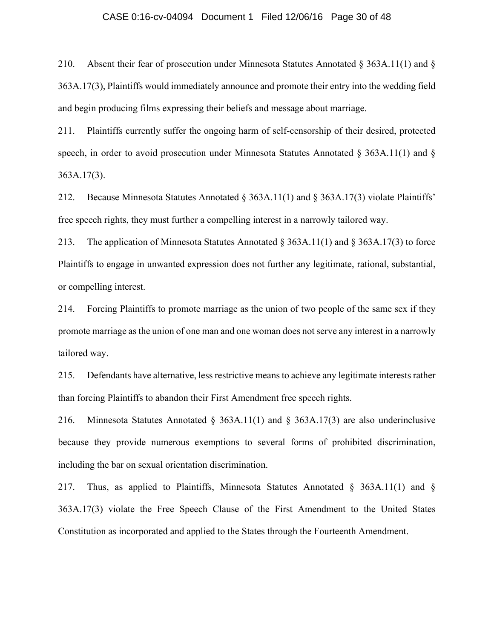## CASE 0:16-cv-04094 Document 1 Filed 12/06/16 Page 30 of 48

210. Absent their fear of prosecution under Minnesota Statutes Annotated § 363A.11(1) and § 363A.17(3), Plaintiffs would immediately announce and promote their entry into the wedding field and begin producing films expressing their beliefs and message about marriage.

211. Plaintiffs currently suffer the ongoing harm of self-censorship of their desired, protected speech, in order to avoid prosecution under Minnesota Statutes Annotated § 363A.11(1) and § 363A.17(3).

212. Because Minnesota Statutes Annotated § 363A.11(1) and § 363A.17(3) violate Plaintiffs' free speech rights, they must further a compelling interest in a narrowly tailored way.

213. The application of Minnesota Statutes Annotated § 363A.11(1) and § 363A.17(3) to force Plaintiffs to engage in unwanted expression does not further any legitimate, rational, substantial, or compelling interest.

214. Forcing Plaintiffs to promote marriage as the union of two people of the same sex if they promote marriage as the union of one man and one woman does not serve any interest in a narrowly tailored way.

215. Defendants have alternative, less restrictive means to achieve any legitimate interests rather than forcing Plaintiffs to abandon their First Amendment free speech rights.

216. Minnesota Statutes Annotated § 363A.11(1) and § 363A.17(3) are also underinclusive because they provide numerous exemptions to several forms of prohibited discrimination, including the bar on sexual orientation discrimination.

217. Thus, as applied to Plaintiffs, Minnesota Statutes Annotated § 363A.11(1) and § 363A.17(3) violate the Free Speech Clause of the First Amendment to the United States Constitution as incorporated and applied to the States through the Fourteenth Amendment.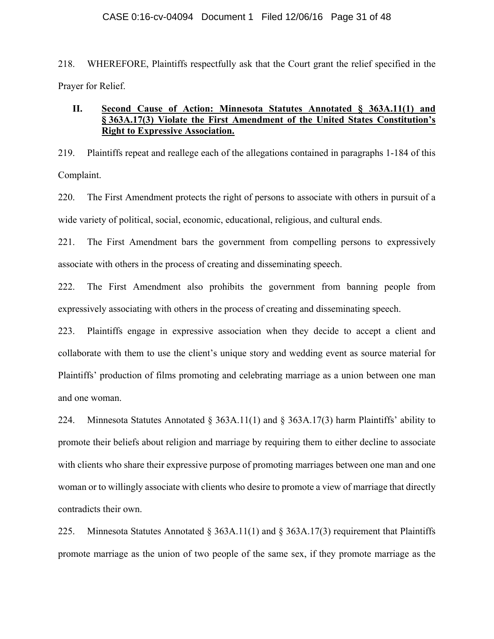### CASE 0:16-cv-04094 Document 1 Filed 12/06/16 Page 31 of 48

218. WHEREFORE, Plaintiffs respectfully ask that the Court grant the relief specified in the Prayer for Relief.

## **II. Second Cause of Action: Minnesota Statutes Annotated § 363A.11(1) and § 363A.17(3) Violate the First Amendment of the United States Constitution's Right to Expressive Association.**

219. Plaintiffs repeat and reallege each of the allegations contained in paragraphs 1-184 of this Complaint.

220. The First Amendment protects the right of persons to associate with others in pursuit of a wide variety of political, social, economic, educational, religious, and cultural ends.

221. The First Amendment bars the government from compelling persons to expressively associate with others in the process of creating and disseminating speech.

222. The First Amendment also prohibits the government from banning people from expressively associating with others in the process of creating and disseminating speech.

223. Plaintiffs engage in expressive association when they decide to accept a client and collaborate with them to use the client's unique story and wedding event as source material for Plaintiffs' production of films promoting and celebrating marriage as a union between one man and one woman.

224. Minnesota Statutes Annotated § 363A.11(1) and § 363A.17(3) harm Plaintiffs' ability to promote their beliefs about religion and marriage by requiring them to either decline to associate with clients who share their expressive purpose of promoting marriages between one man and one woman or to willingly associate with clients who desire to promote a view of marriage that directly contradicts their own.

225. Minnesota Statutes Annotated § 363A.11(1) and § 363A.17(3) requirement that Plaintiffs promote marriage as the union of two people of the same sex, if they promote marriage as the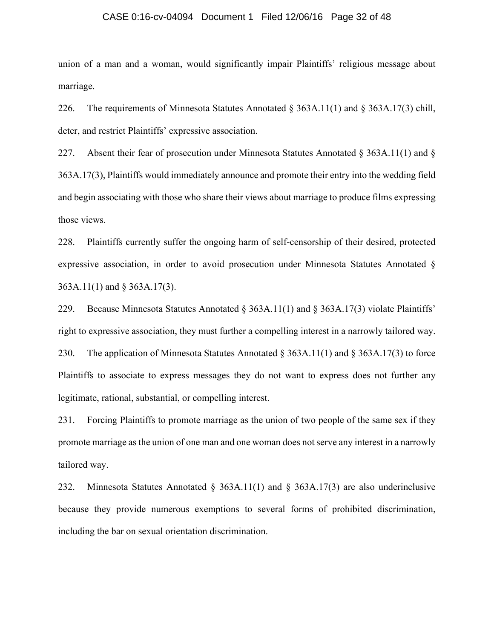### CASE 0:16-cv-04094 Document 1 Filed 12/06/16 Page 32 of 48

union of a man and a woman, would significantly impair Plaintiffs' religious message about marriage.

226. The requirements of Minnesota Statutes Annotated § 363A.11(1) and § 363A.17(3) chill, deter, and restrict Plaintiffs' expressive association.

227. Absent their fear of prosecution under Minnesota Statutes Annotated § 363A.11(1) and § 363A.17(3), Plaintiffs would immediately announce and promote their entry into the wedding field and begin associating with those who share their views about marriage to produce films expressing those views.

228. Plaintiffs currently suffer the ongoing harm of self-censorship of their desired, protected expressive association, in order to avoid prosecution under Minnesota Statutes Annotated § 363A.11(1) and § 363A.17(3).

229. Because Minnesota Statutes Annotated § 363A.11(1) and § 363A.17(3) violate Plaintiffs' right to expressive association, they must further a compelling interest in a narrowly tailored way. 230. The application of Minnesota Statutes Annotated § 363A.11(1) and § 363A.17(3) to force Plaintiffs to associate to express messages they do not want to express does not further any legitimate, rational, substantial, or compelling interest.

231. Forcing Plaintiffs to promote marriage as the union of two people of the same sex if they promote marriage as the union of one man and one woman does not serve any interest in a narrowly tailored way.

232. Minnesota Statutes Annotated § 363A.11(1) and § 363A.17(3) are also underinclusive because they provide numerous exemptions to several forms of prohibited discrimination, including the bar on sexual orientation discrimination.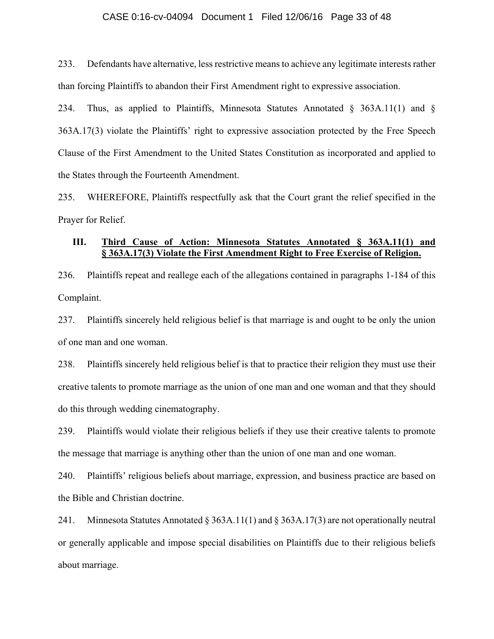## CASE 0:16-cv-04094 Document 1 Filed 12/06/16 Page 33 of 48

233. Defendants have alternative, less restrictive means to achieve any legitimate interests rather than forcing Plaintiffs to abandon their First Amendment right to expressive association.

234. Thus, as applied to Plaintiffs, Minnesota Statutes Annotated § 363A.11(1) and § 363A.17(3) violate the Plaintiffs' right to expressive association protected by the Free Speech Clause of the First Amendment to the United States Constitution as incorporated and applied to the States through the Fourteenth Amendment.

235. WHEREFORE, Plaintiffs respectfully ask that the Court grant the relief specified in the Prayer for Relief.

## **III. Third Cause of Action: Minnesota Statutes Annotated § 363A.11(1) and § 363A.17(3) Violate the First Amendment Right to Free Exercise of Religion.**

236. Plaintiffs repeat and reallege each of the allegations contained in paragraphs 1-184 of this Complaint.

237. Plaintiffs sincerely held religious belief is that marriage is and ought to be only the union of one man and one woman.

238. Plaintiffs sincerely held religious belief is that to practice their religion they must use their creative talents to promote marriage as the union of one man and one woman and that they should do this through wedding cinematography.

239. Plaintiffs would violate their religious beliefs if they use their creative talents to promote the message that marriage is anything other than the union of one man and one woman.

240. Plaintiffs' religious beliefs about marriage, expression, and business practice are based on the Bible and Christian doctrine.

241. Minnesota Statutes Annotated  $\S 363A.11(1)$  and  $\S 363A.17(3)$  are not operationally neutral or generally applicable and impose special disabilities on Plaintiffs due to their religious beliefs about marriage.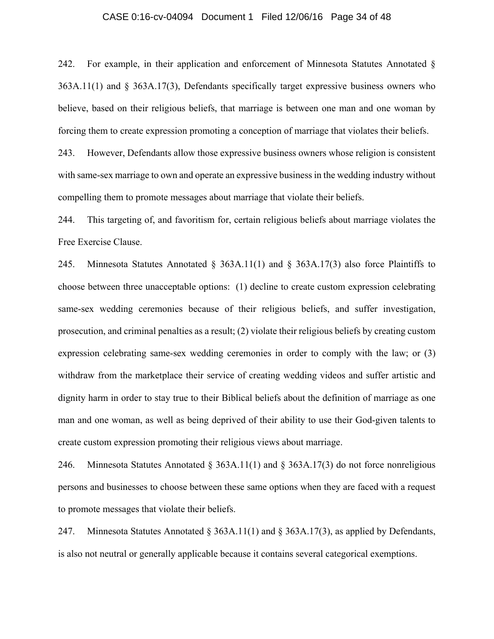## CASE 0:16-cv-04094 Document 1 Filed 12/06/16 Page 34 of 48

242. For example, in their application and enforcement of Minnesota Statutes Annotated § 363A.11(1) and § 363A.17(3), Defendants specifically target expressive business owners who believe, based on their religious beliefs, that marriage is between one man and one woman by forcing them to create expression promoting a conception of marriage that violates their beliefs.

243. However, Defendants allow those expressive business owners whose religion is consistent with same-sex marriage to own and operate an expressive business in the wedding industry without compelling them to promote messages about marriage that violate their beliefs.

244. This targeting of, and favoritism for, certain religious beliefs about marriage violates the Free Exercise Clause.

245. Minnesota Statutes Annotated § 363A.11(1) and § 363A.17(3) also force Plaintiffs to choose between three unacceptable options: (1) decline to create custom expression celebrating same-sex wedding ceremonies because of their religious beliefs, and suffer investigation, prosecution, and criminal penalties as a result; (2) violate their religious beliefs by creating custom expression celebrating same-sex wedding ceremonies in order to comply with the law; or (3) withdraw from the marketplace their service of creating wedding videos and suffer artistic and dignity harm in order to stay true to their Biblical beliefs about the definition of marriage as one man and one woman, as well as being deprived of their ability to use their God-given talents to create custom expression promoting their religious views about marriage.

246. Minnesota Statutes Annotated § 363A.11(1) and § 363A.17(3) do not force nonreligious persons and businesses to choose between these same options when they are faced with a request to promote messages that violate their beliefs.

247. Minnesota Statutes Annotated § 363A.11(1) and § 363A.17(3), as applied by Defendants, is also not neutral or generally applicable because it contains several categorical exemptions.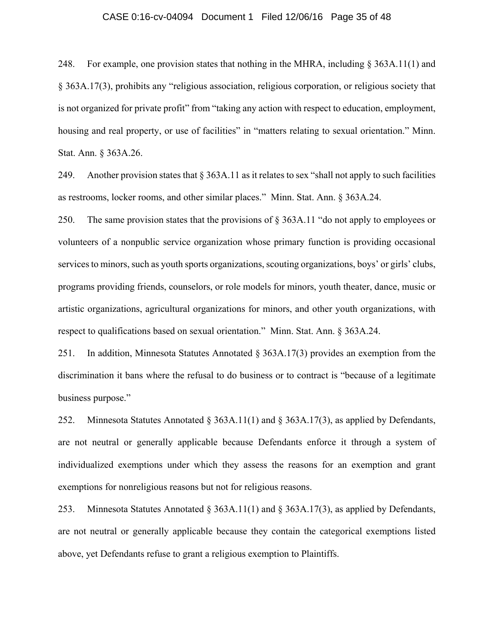## CASE 0:16-cv-04094 Document 1 Filed 12/06/16 Page 35 of 48

248. For example, one provision states that nothing in the MHRA, including § 363A.11(1) and § 363A.17(3), prohibits any "religious association, religious corporation, or religious society that is not organized for private profit" from "taking any action with respect to education, employment, housing and real property, or use of facilities" in "matters relating to sexual orientation." Minn. Stat. Ann. § 363A.26.

249. Another provision states that § 363A.11 as it relates to sex "shall not apply to such facilities as restrooms, locker rooms, and other similar places." Minn. Stat. Ann. § 363A.24.

250. The same provision states that the provisions of § 363A.11 "do not apply to employees or volunteers of a nonpublic service organization whose primary function is providing occasional services to minors, such as youth sports organizations, scouting organizations, boys' or girls' clubs, programs providing friends, counselors, or role models for minors, youth theater, dance, music or artistic organizations, agricultural organizations for minors, and other youth organizations, with respect to qualifications based on sexual orientation." Minn. Stat. Ann. § 363A.24.

251. In addition, Minnesota Statutes Annotated § 363A.17(3) provides an exemption from the discrimination it bans where the refusal to do business or to contract is "because of a legitimate business purpose."

252. Minnesota Statutes Annotated § 363A.11(1) and § 363A.17(3), as applied by Defendants, are not neutral or generally applicable because Defendants enforce it through a system of individualized exemptions under which they assess the reasons for an exemption and grant exemptions for nonreligious reasons but not for religious reasons.

253. Minnesota Statutes Annotated § 363A.11(1) and § 363A.17(3), as applied by Defendants, are not neutral or generally applicable because they contain the categorical exemptions listed above, yet Defendants refuse to grant a religious exemption to Plaintiffs.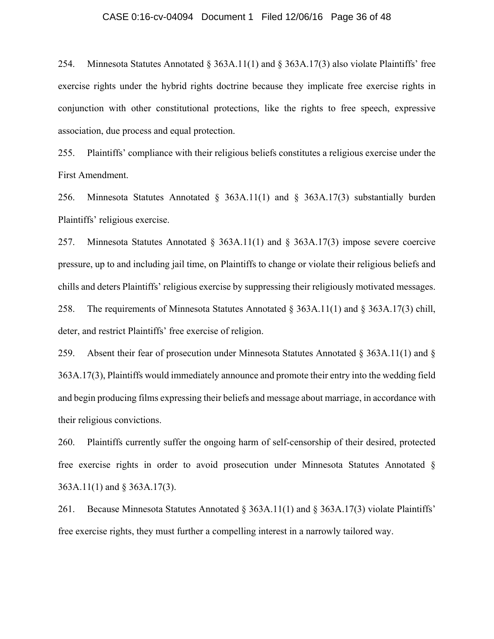## CASE 0:16-cv-04094 Document 1 Filed 12/06/16 Page 36 of 48

254. Minnesota Statutes Annotated § 363A.11(1) and § 363A.17(3) also violate Plaintiffs' free exercise rights under the hybrid rights doctrine because they implicate free exercise rights in conjunction with other constitutional protections, like the rights to free speech, expressive association, due process and equal protection.

255. Plaintiffs' compliance with their religious beliefs constitutes a religious exercise under the First Amendment.

256. Minnesota Statutes Annotated § 363A.11(1) and § 363A.17(3) substantially burden Plaintiffs' religious exercise.

257. Minnesota Statutes Annotated § 363A.11(1) and § 363A.17(3) impose severe coercive pressure, up to and including jail time, on Plaintiffs to change or violate their religious beliefs and chills and deters Plaintiffs' religious exercise by suppressing their religiously motivated messages. 258. The requirements of Minnesota Statutes Annotated § 363A.11(1) and § 363A.17(3) chill, deter, and restrict Plaintiffs' free exercise of religion.

259. Absent their fear of prosecution under Minnesota Statutes Annotated § 363A.11(1) and § 363A.17(3), Plaintiffs would immediately announce and promote their entry into the wedding field and begin producing films expressing their beliefs and message about marriage, in accordance with their religious convictions.

260. Plaintiffs currently suffer the ongoing harm of self-censorship of their desired, protected free exercise rights in order to avoid prosecution under Minnesota Statutes Annotated § 363A.11(1) and § 363A.17(3).

261. Because Minnesota Statutes Annotated § 363A.11(1) and § 363A.17(3) violate Plaintiffs' free exercise rights, they must further a compelling interest in a narrowly tailored way.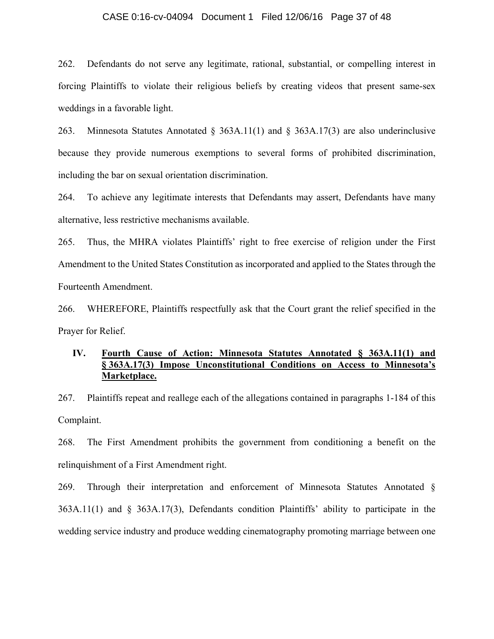## CASE 0:16-cv-04094 Document 1 Filed 12/06/16 Page 37 of 48

262. Defendants do not serve any legitimate, rational, substantial, or compelling interest in forcing Plaintiffs to violate their religious beliefs by creating videos that present same-sex weddings in a favorable light.

263. Minnesota Statutes Annotated § 363A.11(1) and § 363A.17(3) are also underinclusive because they provide numerous exemptions to several forms of prohibited discrimination, including the bar on sexual orientation discrimination.

264. To achieve any legitimate interests that Defendants may assert, Defendants have many alternative, less restrictive mechanisms available.

265. Thus, the MHRA violates Plaintiffs' right to free exercise of religion under the First Amendment to the United States Constitution as incorporated and applied to the States through the Fourteenth Amendment.

266. WHEREFORE, Plaintiffs respectfully ask that the Court grant the relief specified in the Prayer for Relief.

## **IV. Fourth Cause of Action: Minnesota Statutes Annotated § 363A.11(1) and § 363A.17(3) Impose Unconstitutional Conditions on Access to Minnesota's Marketplace.**

267. Plaintiffs repeat and reallege each of the allegations contained in paragraphs 1-184 of this Complaint.

268. The First Amendment prohibits the government from conditioning a benefit on the relinquishment of a First Amendment right.

269. Through their interpretation and enforcement of Minnesota Statutes Annotated § 363A.11(1) and § 363A.17(3), Defendants condition Plaintiffs' ability to participate in the wedding service industry and produce wedding cinematography promoting marriage between one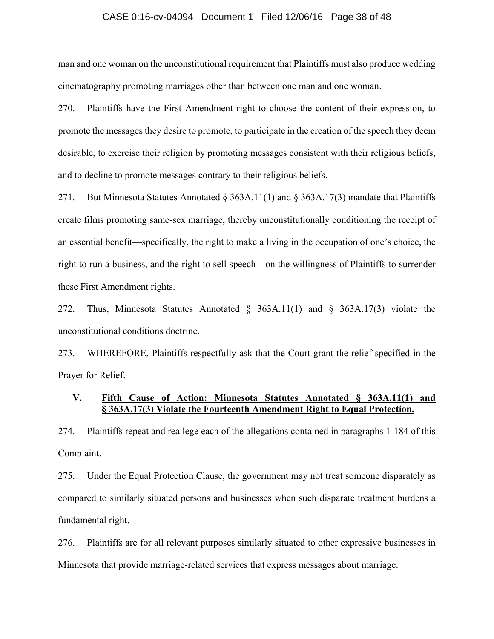## CASE 0:16-cv-04094 Document 1 Filed 12/06/16 Page 38 of 48

man and one woman on the unconstitutional requirement that Plaintiffs must also produce wedding cinematography promoting marriages other than between one man and one woman.

270. Plaintiffs have the First Amendment right to choose the content of their expression, to promote the messages they desire to promote, to participate in the creation of the speech they deem desirable, to exercise their religion by promoting messages consistent with their religious beliefs, and to decline to promote messages contrary to their religious beliefs.

271. But Minnesota Statutes Annotated § 363A.11(1) and § 363A.17(3) mandate that Plaintiffs create films promoting same-sex marriage, thereby unconstitutionally conditioning the receipt of an essential benefit—specifically, the right to make a living in the occupation of one's choice, the right to run a business, and the right to sell speech—on the willingness of Plaintiffs to surrender these First Amendment rights.

272. Thus, Minnesota Statutes Annotated § 363A.11(1) and § 363A.17(3) violate the unconstitutional conditions doctrine.

273. WHEREFORE, Plaintiffs respectfully ask that the Court grant the relief specified in the Prayer for Relief.

## **V. Fifth Cause of Action: Minnesota Statutes Annotated § 363A.11(1) and § 363A.17(3) Violate the Fourteenth Amendment Right to Equal Protection.**

274. Plaintiffs repeat and reallege each of the allegations contained in paragraphs 1-184 of this Complaint.

275. Under the Equal Protection Clause, the government may not treat someone disparately as compared to similarly situated persons and businesses when such disparate treatment burdens a fundamental right.

276. Plaintiffs are for all relevant purposes similarly situated to other expressive businesses in Minnesota that provide marriage-related services that express messages about marriage.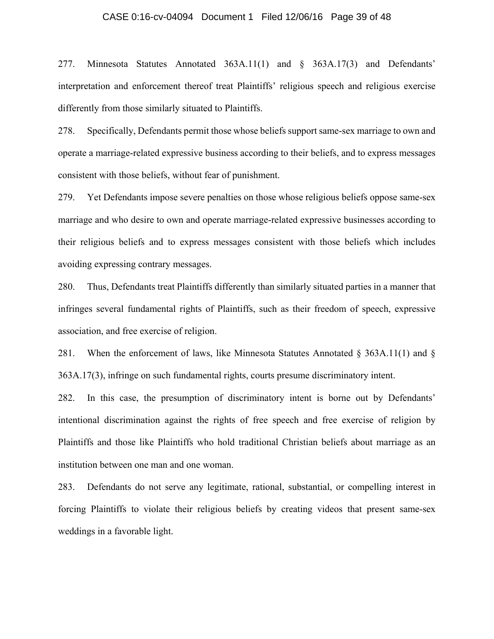## CASE 0:16-cv-04094 Document 1 Filed 12/06/16 Page 39 of 48

277. Minnesota Statutes Annotated 363A.11(1) and § 363A.17(3) and Defendants' interpretation and enforcement thereof treat Plaintiffs' religious speech and religious exercise differently from those similarly situated to Plaintiffs.

278. Specifically, Defendants permit those whose beliefs support same-sex marriage to own and operate a marriage-related expressive business according to their beliefs, and to express messages consistent with those beliefs, without fear of punishment.

279. Yet Defendants impose severe penalties on those whose religious beliefs oppose same-sex marriage and who desire to own and operate marriage-related expressive businesses according to their religious beliefs and to express messages consistent with those beliefs which includes avoiding expressing contrary messages.

280. Thus, Defendants treat Plaintiffs differently than similarly situated parties in a manner that infringes several fundamental rights of Plaintiffs, such as their freedom of speech, expressive association, and free exercise of religion.

281. When the enforcement of laws, like Minnesota Statutes Annotated  $\S$  363A.11(1) and  $\S$ 363A.17(3), infringe on such fundamental rights, courts presume discriminatory intent.

282. In this case, the presumption of discriminatory intent is borne out by Defendants' intentional discrimination against the rights of free speech and free exercise of religion by Plaintiffs and those like Plaintiffs who hold traditional Christian beliefs about marriage as an institution between one man and one woman.

283. Defendants do not serve any legitimate, rational, substantial, or compelling interest in forcing Plaintiffs to violate their religious beliefs by creating videos that present same-sex weddings in a favorable light.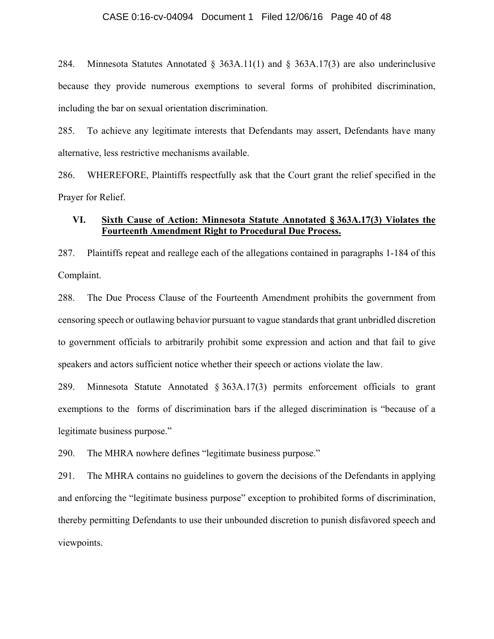## CASE 0:16-cv-04094 Document 1 Filed 12/06/16 Page 40 of 48

284. Minnesota Statutes Annotated § 363A.11(1) and § 363A.17(3) are also underinclusive because they provide numerous exemptions to several forms of prohibited discrimination, including the bar on sexual orientation discrimination.

285. To achieve any legitimate interests that Defendants may assert, Defendants have many alternative, less restrictive mechanisms available.

286. WHEREFORE, Plaintiffs respectfully ask that the Court grant the relief specified in the Prayer for Relief.

## **VI. Sixth Cause of Action: Minnesota Statute Annotated § 363A.17(3) Violates the Fourteenth Amendment Right to Procedural Due Process.**

287. Plaintiffs repeat and reallege each of the allegations contained in paragraphs 1-184 of this Complaint.

288. The Due Process Clause of the Fourteenth Amendment prohibits the government from censoring speech or outlawing behavior pursuant to vague standards that grant unbridled discretion to government officials to arbitrarily prohibit some expression and action and that fail to give speakers and actors sufficient notice whether their speech or actions violate the law.

289. Minnesota Statute Annotated § 363A.17(3) permits enforcement officials to grant exemptions to the forms of discrimination bars if the alleged discrimination is "because of a legitimate business purpose."

290. The MHRA nowhere defines "legitimate business purpose."

291. The MHRA contains no guidelines to govern the decisions of the Defendants in applying and enforcing the "legitimate business purpose" exception to prohibited forms of discrimination, thereby permitting Defendants to use their unbounded discretion to punish disfavored speech and viewpoints.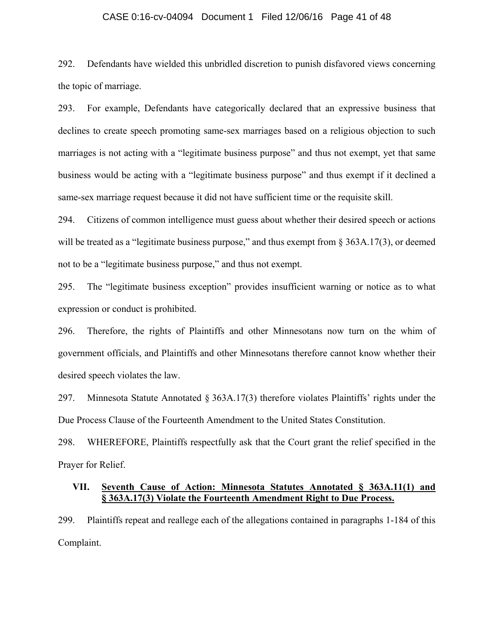## CASE 0:16-cv-04094 Document 1 Filed 12/06/16 Page 41 of 48

292. Defendants have wielded this unbridled discretion to punish disfavored views concerning the topic of marriage.

293. For example, Defendants have categorically declared that an expressive business that declines to create speech promoting same-sex marriages based on a religious objection to such marriages is not acting with a "legitimate business purpose" and thus not exempt, yet that same business would be acting with a "legitimate business purpose" and thus exempt if it declined a same-sex marriage request because it did not have sufficient time or the requisite skill.

294. Citizens of common intelligence must guess about whether their desired speech or actions will be treated as a "legitimate business purpose," and thus exempt from § 363A.17(3), or deemed not to be a "legitimate business purpose," and thus not exempt.

295. The "legitimate business exception" provides insufficient warning or notice as to what expression or conduct is prohibited.

296. Therefore, the rights of Plaintiffs and other Minnesotans now turn on the whim of government officials, and Plaintiffs and other Minnesotans therefore cannot know whether their desired speech violates the law.

297. Minnesota Statute Annotated § 363A.17(3) therefore violates Plaintiffs' rights under the Due Process Clause of the Fourteenth Amendment to the United States Constitution.

298. WHEREFORE, Plaintiffs respectfully ask that the Court grant the relief specified in the Prayer for Relief.

## **VII. Seventh Cause of Action: Minnesota Statutes Annotated § 363A.11(1) and § 363A.17(3) Violate the Fourteenth Amendment Right to Due Process.**

299. Plaintiffs repeat and reallege each of the allegations contained in paragraphs 1-184 of this Complaint.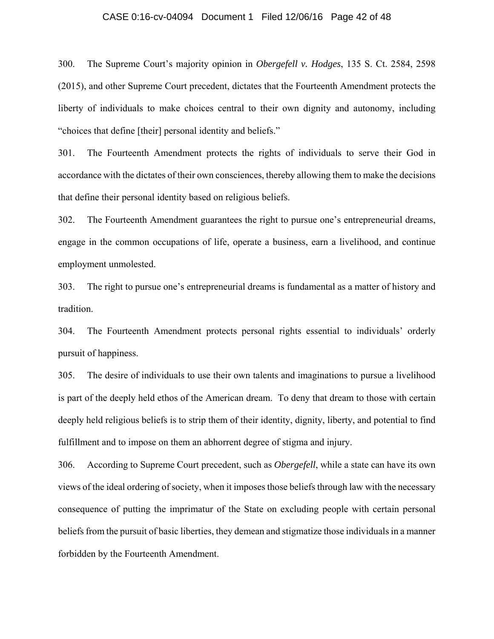## CASE 0:16-cv-04094 Document 1 Filed 12/06/16 Page 42 of 48

300. The Supreme Court's majority opinion in *Obergefell v. Hodges*, 135 S. Ct. 2584, 2598 (2015), and other Supreme Court precedent, dictates that the Fourteenth Amendment protects the liberty of individuals to make choices central to their own dignity and autonomy, including "choices that define [their] personal identity and beliefs."

301. The Fourteenth Amendment protects the rights of individuals to serve their God in accordance with the dictates of their own consciences, thereby allowing them to make the decisions that define their personal identity based on religious beliefs.

302. The Fourteenth Amendment guarantees the right to pursue one's entrepreneurial dreams, engage in the common occupations of life, operate a business, earn a livelihood, and continue employment unmolested.

303. The right to pursue one's entrepreneurial dreams is fundamental as a matter of history and tradition.

304. The Fourteenth Amendment protects personal rights essential to individuals' orderly pursuit of happiness.

305. The desire of individuals to use their own talents and imaginations to pursue a livelihood is part of the deeply held ethos of the American dream. To deny that dream to those with certain deeply held religious beliefs is to strip them of their identity, dignity, liberty, and potential to find fulfillment and to impose on them an abhorrent degree of stigma and injury.

306. According to Supreme Court precedent, such as *Obergefell*, while a state can have its own views of the ideal ordering of society, when it imposes those beliefs through law with the necessary consequence of putting the imprimatur of the State on excluding people with certain personal beliefs from the pursuit of basic liberties, they demean and stigmatize those individuals in a manner forbidden by the Fourteenth Amendment.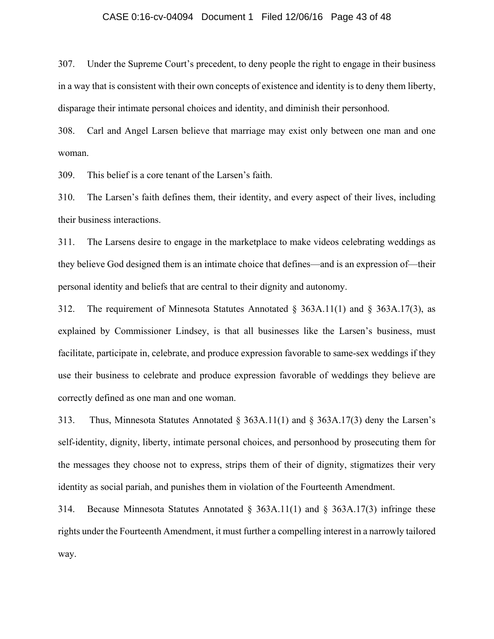### CASE 0:16-cv-04094 Document 1 Filed 12/06/16 Page 43 of 48

307. Under the Supreme Court's precedent, to deny people the right to engage in their business in a way that is consistent with their own concepts of existence and identity is to deny them liberty, disparage their intimate personal choices and identity, and diminish their personhood.

308. Carl and Angel Larsen believe that marriage may exist only between one man and one woman.

309. This belief is a core tenant of the Larsen's faith.

310. The Larsen's faith defines them, their identity, and every aspect of their lives, including their business interactions.

311. The Larsens desire to engage in the marketplace to make videos celebrating weddings as they believe God designed them is an intimate choice that defines—and is an expression of—their personal identity and beliefs that are central to their dignity and autonomy.

312. The requirement of Minnesota Statutes Annotated § 363A.11(1) and § 363A.17(3), as explained by Commissioner Lindsey, is that all businesses like the Larsen's business, must facilitate, participate in, celebrate, and produce expression favorable to same-sex weddings if they use their business to celebrate and produce expression favorable of weddings they believe are correctly defined as one man and one woman.

313. Thus, Minnesota Statutes Annotated § 363A.11(1) and § 363A.17(3) deny the Larsen's self-identity, dignity, liberty, intimate personal choices, and personhood by prosecuting them for the messages they choose not to express, strips them of their of dignity, stigmatizes their very identity as social pariah, and punishes them in violation of the Fourteenth Amendment.

314. Because Minnesota Statutes Annotated  $\S$  363A.11(1) and  $\S$  363A.17(3) infringe these rights under the Fourteenth Amendment, it must further a compelling interest in a narrowly tailored way.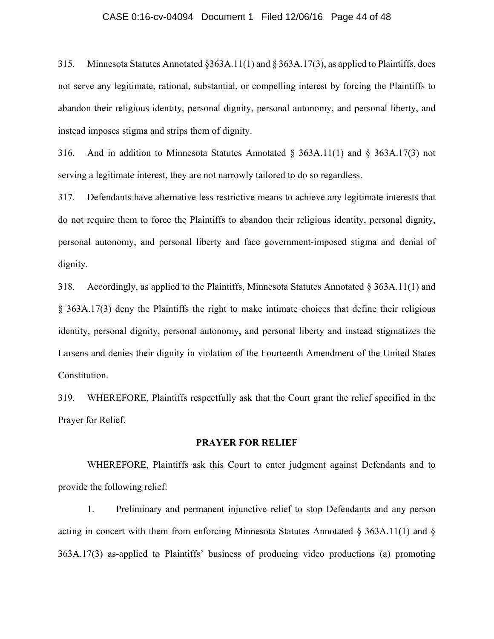## CASE 0:16-cv-04094 Document 1 Filed 12/06/16 Page 44 of 48

315. Minnesota Statutes Annotated §363A.11(1) and § 363A.17(3), as applied to Plaintiffs, does not serve any legitimate, rational, substantial, or compelling interest by forcing the Plaintiffs to abandon their religious identity, personal dignity, personal autonomy, and personal liberty, and instead imposes stigma and strips them of dignity.

316. And in addition to Minnesota Statutes Annotated § 363A.11(1) and § 363A.17(3) not serving a legitimate interest, they are not narrowly tailored to do so regardless.

317. Defendants have alternative less restrictive means to achieve any legitimate interests that do not require them to force the Plaintiffs to abandon their religious identity, personal dignity, personal autonomy, and personal liberty and face government-imposed stigma and denial of dignity.

318. Accordingly, as applied to the Plaintiffs, Minnesota Statutes Annotated § 363A.11(1) and § 363A.17(3) deny the Plaintiffs the right to make intimate choices that define their religious identity, personal dignity, personal autonomy, and personal liberty and instead stigmatizes the Larsens and denies their dignity in violation of the Fourteenth Amendment of the United States Constitution.

319. WHEREFORE, Plaintiffs respectfully ask that the Court grant the relief specified in the Prayer for Relief.

## **PRAYER FOR RELIEF**

 WHEREFORE, Plaintiffs ask this Court to enter judgment against Defendants and to provide the following relief:

1. Preliminary and permanent injunctive relief to stop Defendants and any person acting in concert with them from enforcing Minnesota Statutes Annotated § 363A.11(1) and § 363A.17(3) as-applied to Plaintiffs' business of producing video productions (a) promoting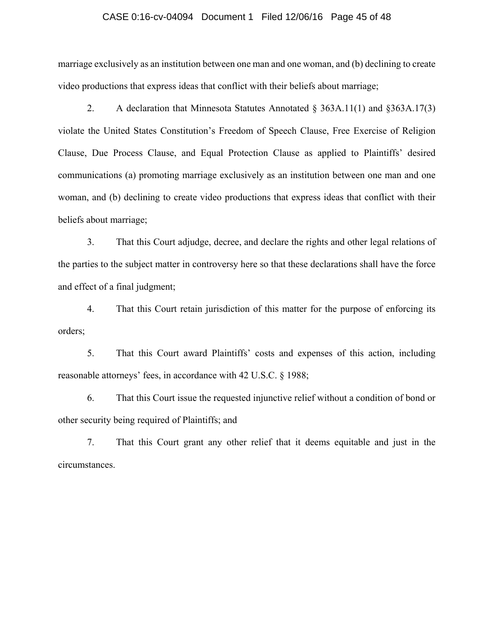## CASE 0:16-cv-04094 Document 1 Filed 12/06/16 Page 45 of 48

marriage exclusively as an institution between one man and one woman, and (b) declining to create video productions that express ideas that conflict with their beliefs about marriage;

2. A declaration that Minnesota Statutes Annotated  $\S$  363A.11(1) and  $\S$ 363A.17(3) violate the United States Constitution's Freedom of Speech Clause, Free Exercise of Religion Clause, Due Process Clause, and Equal Protection Clause as applied to Plaintiffs' desired communications (a) promoting marriage exclusively as an institution between one man and one woman, and (b) declining to create video productions that express ideas that conflict with their beliefs about marriage;

3. That this Court adjudge, decree, and declare the rights and other legal relations of the parties to the subject matter in controversy here so that these declarations shall have the force and effect of a final judgment;

4. That this Court retain jurisdiction of this matter for the purpose of enforcing its orders;

5. That this Court award Plaintiffs' costs and expenses of this action, including reasonable attorneys' fees, in accordance with 42 U.S.C. § 1988;

6. That this Court issue the requested injunctive relief without a condition of bond or other security being required of Plaintiffs; and

7. That this Court grant any other relief that it deems equitable and just in the circumstances.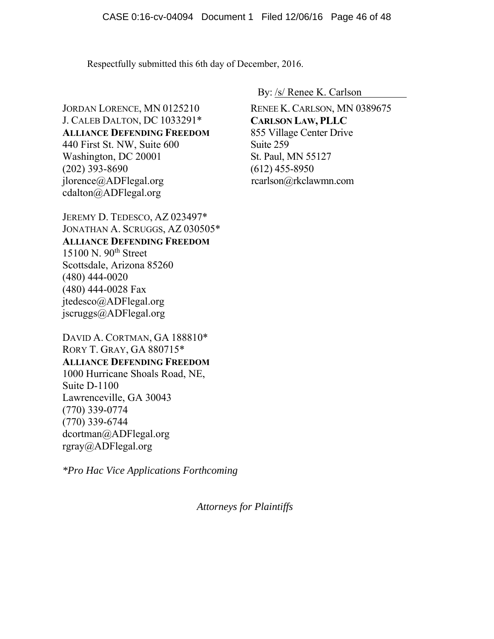Respectfully submitted this 6th day of December, 2016.

JORDAN LORENCE, MN 0125210 J. CALEB DALTON, DC 1033291\* **ALLIANCE DEFENDING FREEDOM** 440 First St. NW, Suite 600 Washington, DC 20001 (202) 393-8690 jlorence@ADFlegal.org cdalton@ADFlegal.org

JEREMY D. TEDESCO, AZ 023497\* JONATHAN A. SCRUGGS, AZ 030505\* **ALLIANCE DEFENDING FREEDOM** 15100 N. 90th Street Scottsdale, Arizona 85260 (480) 444-0020 (480) 444-0028 Fax jtedesco@ADFlegal.org jscruggs@ADFlegal.org

DAVID A. CORTMAN, GA 188810\* RORY T. GRAY, GA 880715\* **ALLIANCE DEFENDING FREEDOM** 1000 Hurricane Shoals Road, NE, Suite D-1100 Lawrenceville, GA 30043 (770) 339-0774 (770) 339-6744 dcortman@ADFlegal.org rgray@ADFlegal.org

*\*Pro Hac Vice Applications Forthcoming* 

By: /s/ Renee K. Carlson

RENEE K. CARLSON, MN 0389675 **CARLSON LAW, PLLC**  855 Village Center Drive Suite 259 St. Paul, MN 55127 (612) 455-8950 rcarlson@rkclawmn.com

*Attorneys for Plaintiffs*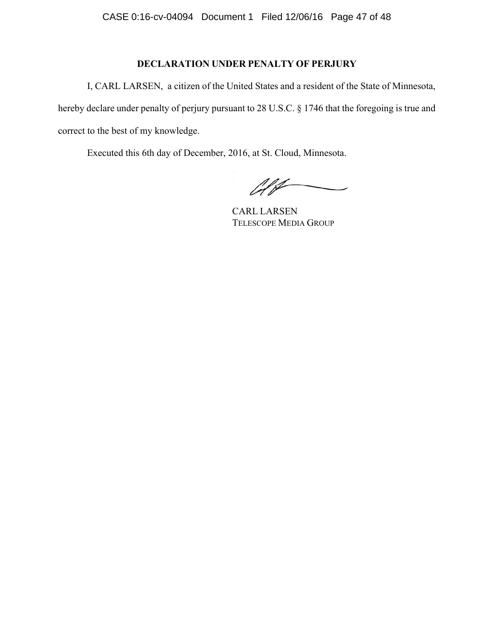# **DECLARATION UNDER PENALTY OF PERJURY**

I, CARL LARSEN, a citizen of the United States and a resident of the State of Minnesota, hereby declare under penalty of perjury pursuant to 28 U.S.C. § 1746 that the foregoing is true and correct to the best of my knowledge.

Executed this 6th day of December, 2016, at St. Cloud, Minnesota.

 $\mathscr{A}$ 

CARL LARSEN TELESCOPE MEDIA GROUP